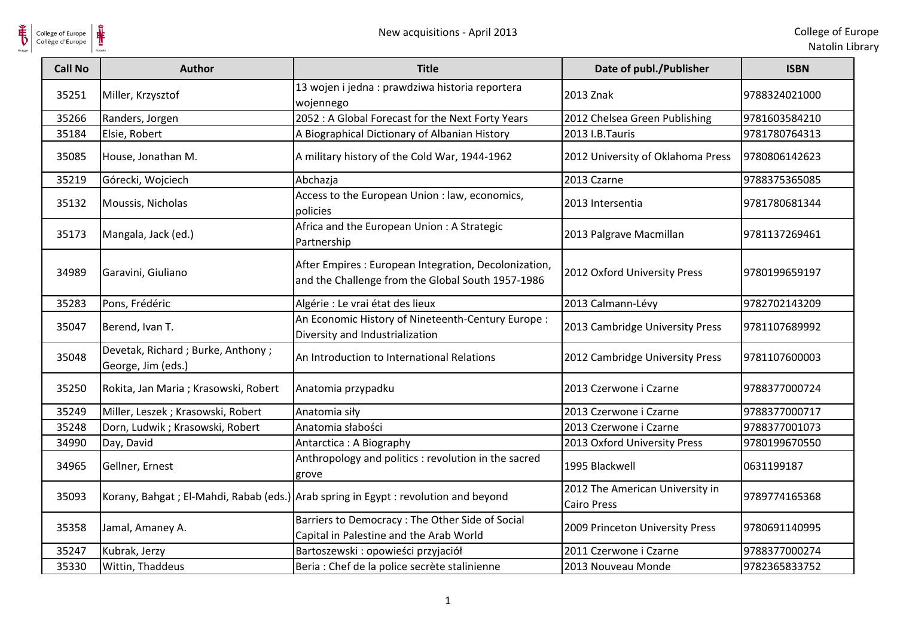

| <b>Call No</b> | <b>Author</b>                                           | <b>Title</b>                                                                                               | Date of publ./Publisher                               | <b>ISBN</b>   |
|----------------|---------------------------------------------------------|------------------------------------------------------------------------------------------------------------|-------------------------------------------------------|---------------|
| 35251          | Miller, Krzysztof                                       | 13 wojen i jedna : prawdziwa historia reportera<br>wojennego                                               | 2013 Znak                                             | 9788324021000 |
| 35266          | Randers, Jorgen                                         | 2052 : A Global Forecast for the Next Forty Years                                                          | 2012 Chelsea Green Publishing                         | 9781603584210 |
| 35184          | Elsie, Robert                                           | A Biographical Dictionary of Albanian History                                                              | 2013 I.B.Tauris                                       | 9781780764313 |
| 35085          | House, Jonathan M.                                      | A military history of the Cold War, 1944-1962                                                              | 2012 University of Oklahoma Press                     | 9780806142623 |
| 35219          | Górecki, Wojciech                                       | Abchazja                                                                                                   | 2013 Czarne                                           | 9788375365085 |
| 35132          | Moussis, Nicholas                                       | Access to the European Union : law, economics,<br>policies                                                 | 2013 Intersentia                                      | 9781780681344 |
| 35173          | Mangala, Jack (ed.)                                     | Africa and the European Union: A Strategic<br>Partnership                                                  | 2013 Palgrave Macmillan                               | 9781137269461 |
| 34989          | Garavini, Giuliano                                      | After Empires : European Integration, Decolonization,<br>and the Challenge from the Global South 1957-1986 | 2012 Oxford University Press                          | 9780199659197 |
| 35283          | Pons, Frédéric                                          | Algérie : Le vrai état des lieux                                                                           | 2013 Calmann-Lévy                                     | 9782702143209 |
| 35047          | Berend, Ivan T.                                         | An Economic History of Nineteenth-Century Europe:<br>Diversity and Industrialization                       | 2013 Cambridge University Press                       | 9781107689992 |
| 35048          | Devetak, Richard; Burke, Anthony;<br>George, Jim (eds.) | An Introduction to International Relations                                                                 | 2012 Cambridge University Press                       | 9781107600003 |
| 35250          | Rokita, Jan Maria; Krasowski, Robert                    | Anatomia przypadku                                                                                         | 2013 Czerwone i Czarne                                | 9788377000724 |
| 35249          | Miller, Leszek; Krasowski, Robert                       | Anatomia siły                                                                                              | 2013 Czerwone i Czarne                                | 9788377000717 |
| 35248          | Dorn, Ludwik; Krasowski, Robert                         | Anatomia słabości                                                                                          | 2013 Czerwone i Czarne                                | 9788377001073 |
| 34990          | Day, David                                              | Antarctica: A Biography                                                                                    | 2013 Oxford University Press                          | 9780199670550 |
| 34965          | Gellner, Ernest                                         | Anthropology and politics : revolution in the sacred<br>grove                                              | 1995 Blackwell                                        | 0631199187    |
| 35093          |                                                         | Korany, Bahgat ; El-Mahdi, Rabab (eds.) Arab spring in Egypt : revolution and beyond                       | 2012 The American University in<br><b>Cairo Press</b> | 9789774165368 |
| 35358          | Jamal, Amaney A.                                        | Barriers to Democracy : The Other Side of Social<br>Capital in Palestine and the Arab World                | 2009 Princeton University Press                       | 9780691140995 |
| 35247          | Kubrak, Jerzy                                           | Bartoszewski : opowieści przyjaciół                                                                        | 2011 Czerwone i Czarne                                | 9788377000274 |
| 35330          | Wittin, Thaddeus                                        | Beria : Chef de la police secrète stalinienne                                                              | 2013 Nouveau Monde                                    | 9782365833752 |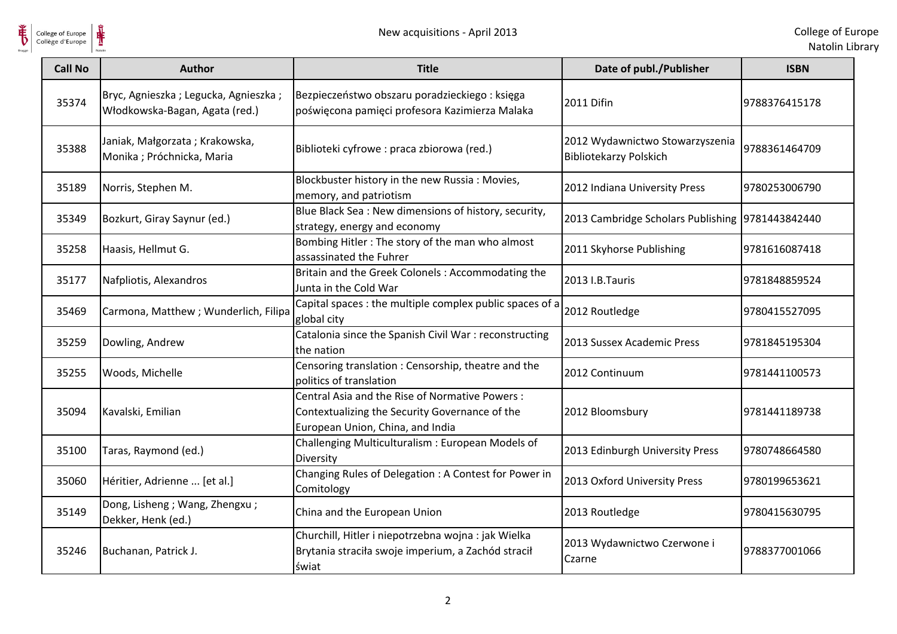

 $\frac{1}{\sqrt{2}}$ 

| <b>Call No</b> | <b>Author</b>                                                          | <b>Title</b>                                                                                                                         | Date of publ./Publisher                                          | <b>ISBN</b>    |
|----------------|------------------------------------------------------------------------|--------------------------------------------------------------------------------------------------------------------------------------|------------------------------------------------------------------|----------------|
| 35374          | Bryc, Agnieszka; Legucka, Agnieszka;<br>Włodkowska-Bagan, Agata (red.) | Bezpieczeństwo obszaru poradzieckiego: księga<br>poświęcona pamięci profesora Kazimierza Malaka                                      | 2011 Difin                                                       | 9788376415178  |
| 35388          | Janiak, Małgorzata; Krakowska,<br>Monika ; Próchnicka, Maria           | Biblioteki cyfrowe : praca zbiorowa (red.)                                                                                           | 2012 Wydawnictwo Stowarzyszenia<br><b>Bibliotekarzy Polskich</b> | 9788361464709  |
| 35189          | Norris, Stephen M.                                                     | Blockbuster history in the new Russia: Movies,<br>memory, and patriotism                                                             | 2012 Indiana University Press                                    | 9780253006790  |
| 35349          | Bozkurt, Giray Saynur (ed.)                                            | Blue Black Sea: New dimensions of history, security,<br>strategy, energy and economy                                                 | 2013 Cambridge Scholars Publishing 9781443842440                 |                |
| 35258          | Haasis, Hellmut G.                                                     | Bombing Hitler: The story of the man who almost<br>assassinated the Fuhrer                                                           | 2011 Skyhorse Publishing                                         | 9781616087418  |
| 35177          | Nafpliotis, Alexandros                                                 | Britain and the Greek Colonels: Accommodating the<br>Junta in the Cold War                                                           | 2013 I.B.Tauris                                                  | 9781848859524  |
| 35469          | Carmona, Matthew; Wunderlich, Filipa                                   | Capital spaces: the multiple complex public spaces of a<br>global city                                                               | 2012 Routledge                                                   | 9780415527095  |
| 35259          | Dowling, Andrew                                                        | Catalonia since the Spanish Civil War : reconstructing<br>the nation                                                                 | 2013 Sussex Academic Press                                       | 9781845195304  |
| 35255          | Woods, Michelle                                                        | Censoring translation: Censorship, theatre and the<br>politics of translation                                                        | 2012 Continuum                                                   | 9781441100573  |
| 35094          | Kavalski, Emilian                                                      | Central Asia and the Rise of Normative Powers:<br>Contextualizing the Security Governance of the<br>European Union, China, and India | 2012 Bloomsbury                                                  | 19781441189738 |
| 35100          | Taras, Raymond (ed.)                                                   | Challenging Multiculturalism: European Models of<br>Diversity                                                                        | 2013 Edinburgh University Press                                  | 9780748664580  |
| 35060          | Héritier, Adrienne  [et al.]                                           | Changing Rules of Delegation : A Contest for Power in<br>Comitology                                                                  | 2013 Oxford University Press                                     | 9780199653621  |
| 35149          | Dong, Lisheng ; Wang, Zhengxu ;<br>Dekker, Henk (ed.)                  | China and the European Union                                                                                                         | 2013 Routledge                                                   | 9780415630795  |
| 35246          | Buchanan, Patrick J.                                                   | Churchill, Hitler i niepotrzebna wojna : jak Wielka<br>Brytania straciła swoje imperium, a Zachód stracił<br>świat                   | 2013 Wydawnictwo Czerwone i<br>Czarne                            | 9788377001066  |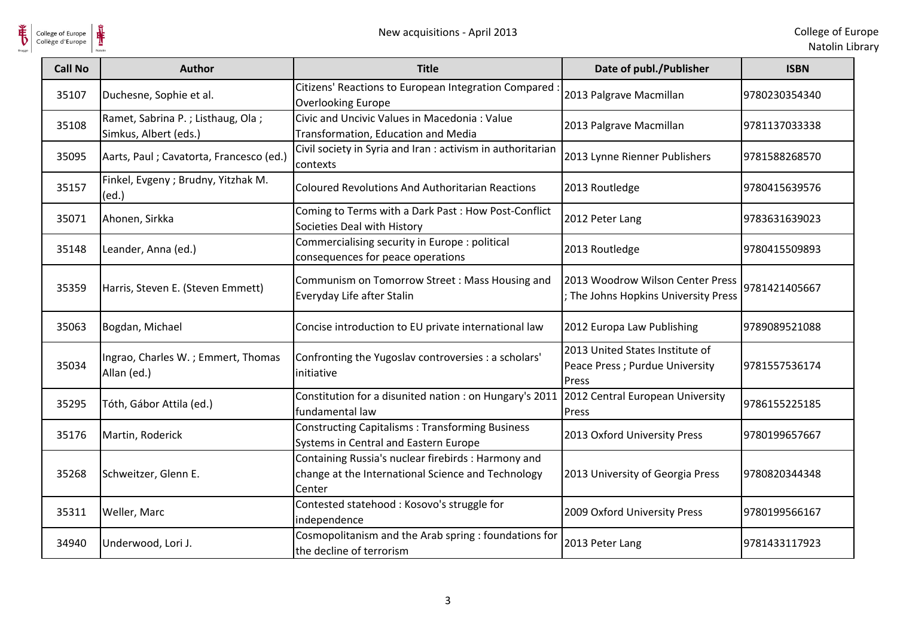

 $\frac{1}{\sqrt{2}}$ College of Europe

| <b>Call No</b> | <b>Author</b>                                              | <b>Title</b>                                                                                                        | Date of publ./Publisher                                                     | <b>ISBN</b>   |
|----------------|------------------------------------------------------------|---------------------------------------------------------------------------------------------------------------------|-----------------------------------------------------------------------------|---------------|
| 35107          | Duchesne, Sophie et al.                                    | Citizens' Reactions to European Integration Compared<br><b>Overlooking Europe</b>                                   | 2013 Palgrave Macmillan                                                     | 9780230354340 |
| 35108          | Ramet, Sabrina P.; Listhaug, Ola;<br>Simkus, Albert (eds.) | Civic and Uncivic Values in Macedonia: Value<br>Transformation, Education and Media                                 | 2013 Palgrave Macmillan                                                     | 9781137033338 |
| 35095          | Aarts, Paul ; Cavatorta, Francesco (ed.)                   | Civil society in Syria and Iran : activism in authoritarian<br>contexts                                             | 2013 Lynne Rienner Publishers                                               | 9781588268570 |
| 35157          | Finkel, Evgeny ; Brudny, Yitzhak M.<br>(ed.)               | <b>Coloured Revolutions And Authoritarian Reactions</b>                                                             | 2013 Routledge                                                              | 9780415639576 |
| 35071          | Ahonen, Sirkka                                             | Coming to Terms with a Dark Past: How Post-Conflict<br>Societies Deal with History                                  | 2012 Peter Lang                                                             | 9783631639023 |
| 35148          | Leander, Anna (ed.)                                        | Commercialising security in Europe : political<br>consequences for peace operations                                 | 2013 Routledge                                                              | 9780415509893 |
| 35359          | Harris, Steven E. (Steven Emmett)                          | Communism on Tomorrow Street: Mass Housing and<br>Everyday Life after Stalin                                        | 2013 Woodrow Wilson Center Press<br>; The Johns Hopkins University Press    | 9781421405667 |
| 35063          | Bogdan, Michael                                            | Concise introduction to EU private international law                                                                | 2012 Europa Law Publishing                                                  | 9789089521088 |
| 35034          | Ingrao, Charles W.; Emmert, Thomas<br>Allan (ed.)          | Confronting the Yugoslav controversies : a scholars'<br>initiative                                                  | 2013 United States Institute of<br>Peace Press ; Purdue University<br>Press | 9781557536174 |
| 35295          | Tóth, Gábor Attila (ed.)                                   | Constitution for a disunited nation : on Hungary's 2011<br>fundamental law                                          | 2012 Central European University<br>Press                                   | 9786155225185 |
| 35176          | Martin, Roderick                                           | <b>Constructing Capitalisms: Transforming Business</b><br>Systems in Central and Eastern Europe                     | 2013 Oxford University Press                                                | 9780199657667 |
| 35268          | Schweitzer, Glenn E.                                       | Containing Russia's nuclear firebirds : Harmony and<br>change at the International Science and Technology<br>Center | 2013 University of Georgia Press                                            | 9780820344348 |
| 35311          | Weller, Marc                                               | Contested statehood: Kosovo's struggle for<br>independence                                                          | 2009 Oxford University Press                                                | 9780199566167 |
| 34940          | Underwood, Lori J.                                         | Cosmopolitanism and the Arab spring : foundations for<br>the decline of terrorism                                   | 2013 Peter Lang                                                             | 9781433117923 |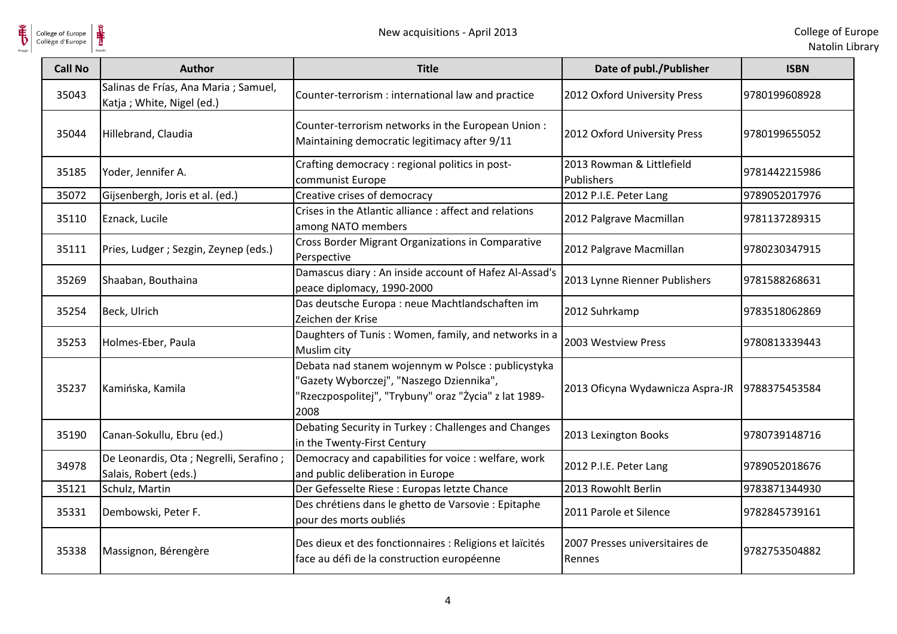

| College of Europe<br>Collège d'Europe |                                                                    | New acquisitions - April 2013                                                                                                                                   |                                          | College of Eu<br>Natolin Lib |
|---------------------------------------|--------------------------------------------------------------------|-----------------------------------------------------------------------------------------------------------------------------------------------------------------|------------------------------------------|------------------------------|
| <b>Call No</b>                        | Author                                                             | <b>Title</b>                                                                                                                                                    | Date of publ./Publisher                  | <b>ISBN</b>                  |
| 35043                                 | Salinas de Frías, Ana Maria ; Samuel,<br>Katja; White, Nigel (ed.) | Counter-terrorism : international law and practice                                                                                                              | 2012 Oxford University Press             | 9780199608928                |
| 35044                                 | Hillebrand, Claudia                                                | Counter-terrorism networks in the European Union:<br>Maintaining democratic legitimacy after 9/11                                                               | 2012 Oxford University Press             | 9780199655052                |
| 35185                                 | Yoder, Jennifer A.                                                 | Crafting democracy : regional politics in post-<br>communist Europe                                                                                             | 2013 Rowman & Littlefield<br>Publishers  | 9781442215986                |
| 35072                                 | Gijsenbergh, Joris et al. (ed.)                                    | Creative crises of democracy                                                                                                                                    | 2012 P.I.E. Peter Lang                   | 9789052017976                |
| 35110                                 | Eznack, Lucile                                                     | Crises in the Atlantic alliance: affect and relations<br>among NATO members                                                                                     | 2012 Palgrave Macmillan                  | 9781137289315                |
| 35111                                 | Pries, Ludger ; Sezgin, Zeynep (eds.)                              | Cross Border Migrant Organizations in Comparative<br>Perspective                                                                                                | 2012 Palgrave Macmillan                  | 9780230347915                |
| 35269                                 | Shaaban, Bouthaina                                                 | Damascus diary: An inside account of Hafez Al-Assad's<br>peace diplomacy, 1990-2000                                                                             | 2013 Lynne Rienner Publishers            | 9781588268631                |
| 35254                                 | Beck, Ulrich                                                       | Das deutsche Europa : neue Machtlandschaften im<br>Zeichen der Krise                                                                                            | 2012 Suhrkamp                            | 9783518062869                |
| 35253                                 | Holmes-Eber, Paula                                                 | Daughters of Tunis: Women, family, and networks in a<br>Muslim city                                                                                             | 2003 Westview Press                      | 9780813339443                |
| 35237                                 | Kamińska, Kamila                                                   | Debata nad stanem wojennym w Polsce : publicystyka<br>'Gazety Wyborczej", "Naszego Dziennika",<br>'Rzeczpospolitej", "Trybuny" oraz "Życia" z lat 1989-<br>2008 | 2013 Oficyna Wydawnicza Aspra-JR         | 9788375453584                |
| 35190                                 | Canan-Sokullu, Ebru (ed.)                                          | Debating Security in Turkey: Challenges and Changes<br>in the Twenty-First Century                                                                              | 2013 Lexington Books                     | 9780739148716                |
| 34978                                 | De Leonardis, Ota ; Negrelli, Serafino ;<br>Salais, Robert (eds.)  | Democracy and capabilities for voice : welfare, work<br>and public deliberation in Europe                                                                       | 2012 P.I.E. Peter Lang                   | 9789052018676                |
| 35121                                 | Schulz, Martin                                                     | Der Gefesselte Riese : Europas letzte Chance                                                                                                                    | 2013 Rowohlt Berlin                      | 9783871344930                |
| 35331                                 | Dembowski, Peter F.                                                | Des chrétiens dans le ghetto de Varsovie : Epitaphe<br>pour des morts oubliés                                                                                   | 2011 Parole et Silence                   | 9782845739161                |
| 35338                                 | Massignon, Bérengère                                               | Des dieux et des fonctionnaires : Religions et laïcités<br>face au défi de la construction européenne                                                           | 2007 Presses universitaires de<br>Rennes | 9782753504882                |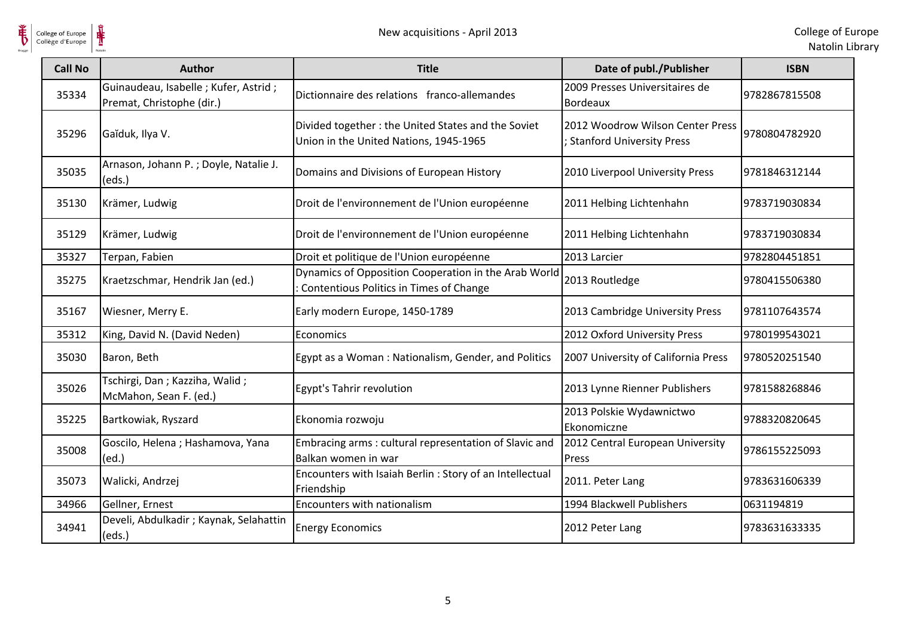

**HE** 

| <b>Call No</b> | <b>Author</b>                                                     | <b>Title</b>                                                                                    | Date of publ./Publisher                                              | <b>ISBN</b>   |
|----------------|-------------------------------------------------------------------|-------------------------------------------------------------------------------------------------|----------------------------------------------------------------------|---------------|
| 35334          | Guinaudeau, Isabelle; Kufer, Astrid;<br>Premat, Christophe (dir.) | Dictionnaire des relations franco-allemandes                                                    | 2009 Presses Universitaires de<br>Bordeaux                           | 9782867815508 |
| 35296          | Gaĭduk, Ilya V.                                                   | Divided together: the United States and the Soviet<br>Union in the United Nations, 1945-1965    | 2012 Woodrow Wilson Center Press<br><b>Stanford University Press</b> | 9780804782920 |
| 35035          | Arnason, Johann P.; Doyle, Natalie J.<br>(eds.)                   | Domains and Divisions of European History                                                       | 2010 Liverpool University Press                                      | 9781846312144 |
| 35130          | Krämer, Ludwig                                                    | Droit de l'environnement de l'Union européenne                                                  | 2011 Helbing Lichtenhahn                                             | 9783719030834 |
| 35129          | Krämer, Ludwig                                                    | Droit de l'environnement de l'Union européenne                                                  | 2011 Helbing Lichtenhahn                                             | 9783719030834 |
| 35327          | Terpan, Fabien                                                    | Droit et politique de l'Union européenne                                                        | 2013 Larcier                                                         | 9782804451851 |
| 35275          | Kraetzschmar, Hendrik Jan (ed.)                                   | Dynamics of Opposition Cooperation in the Arab World<br>Contentious Politics in Times of Change | 2013 Routledge                                                       | 9780415506380 |
| 35167          | Wiesner, Merry E.                                                 | Early modern Europe, 1450-1789                                                                  | 2013 Cambridge University Press                                      | 9781107643574 |
| 35312          | King, David N. (David Neden)                                      | Economics                                                                                       | 2012 Oxford University Press                                         | 9780199543021 |
| 35030          | Baron, Beth                                                       | Egypt as a Woman: Nationalism, Gender, and Politics                                             | 2007 University of California Press                                  | 9780520251540 |
| 35026          | Tschirgi, Dan; Kazziha, Walid;<br>McMahon, Sean F. (ed.)          | Egypt's Tahrir revolution                                                                       | 2013 Lynne Rienner Publishers                                        | 9781588268846 |
| 35225          | Bartkowiak, Ryszard                                               | Ekonomia rozwoju                                                                                | 2013 Polskie Wydawnictwo<br>Ekonomiczne                              | 9788320820645 |
| 35008          | Goscilo, Helena; Hashamova, Yana<br>(ed.)                         | Embracing arms: cultural representation of Slavic and<br>Balkan women in war                    | 2012 Central European University<br>Press                            | 9786155225093 |
| 35073          | Walicki, Andrzej                                                  | Encounters with Isaiah Berlin: Story of an Intellectual<br>Friendship                           | 2011. Peter Lang                                                     | 9783631606339 |
| 34966          | Gellner, Ernest                                                   | Encounters with nationalism                                                                     | 1994 Blackwell Publishers                                            | 0631194819    |
| 34941          | Develi, Abdulkadir ; Kaynak, Selahattin<br>(eds.)                 | <b>Energy Economics</b>                                                                         | 2012 Peter Lang                                                      | 9783631633335 |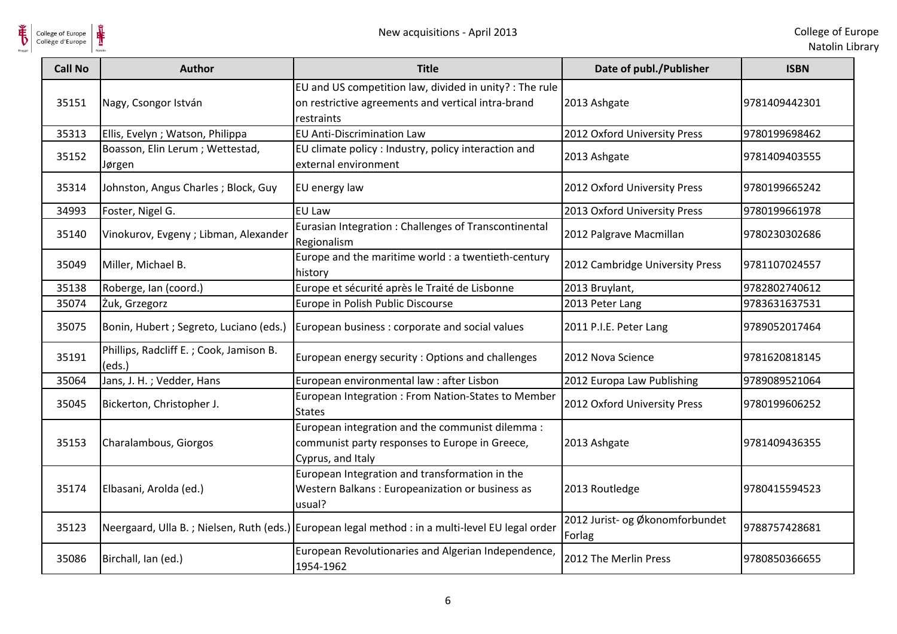

 $\frac{1}{\sqrt{2}}$ College of Europe

| <b>Call No</b> | <b>Author</b>                                     | <b>Title</b>                                                                                                                | Date of publ./Publisher                   | <b>ISBN</b>   |
|----------------|---------------------------------------------------|-----------------------------------------------------------------------------------------------------------------------------|-------------------------------------------|---------------|
| 35151          | Nagy, Csongor István                              | EU and US competition law, divided in unity? : The rule<br>on restrictive agreements and vertical intra-brand<br>restraints | 2013 Ashgate                              | 9781409442301 |
| 35313          | Ellis, Evelyn ; Watson, Philippa                  | <b>EU Anti-Discrimination Law</b>                                                                                           | 2012 Oxford University Press              | 9780199698462 |
| 35152          | Boasson, Elin Lerum; Wettestad,<br>Jørgen         | EU climate policy : Industry, policy interaction and<br>external environment                                                | 2013 Ashgate                              | 9781409403555 |
| 35314          | Johnston, Angus Charles; Block, Guy               | EU energy law                                                                                                               | 2012 Oxford University Press              | 9780199665242 |
| 34993          | Foster, Nigel G.                                  | <b>EU Law</b>                                                                                                               | 2013 Oxford University Press              | 9780199661978 |
| 35140          | Vinokurov, Evgeny ; Libman, Alexander             | Eurasian Integration: Challenges of Transcontinental<br>Regionalism                                                         | 2012 Palgrave Macmillan                   | 9780230302686 |
| 35049          | Miller, Michael B.                                | Europe and the maritime world : a twentieth-century<br>history                                                              | 2012 Cambridge University Press           | 9781107024557 |
| 35138          | Roberge, Ian (coord.)                             | Europe et sécurité après le Traité de Lisbonne                                                                              | 2013 Bruylant,                            | 9782802740612 |
| 35074          | Żuk, Grzegorz                                     | Europe in Polish Public Discourse                                                                                           | 2013 Peter Lang                           | 9783631637531 |
| 35075          | Bonin, Hubert ; Segreto, Luciano (eds.)           | European business: corporate and social values                                                                              | 2011 P.I.E. Peter Lang                    | 9789052017464 |
| 35191          | Phillips, Radcliff E.; Cook, Jamison B.<br>(eds.) | European energy security: Options and challenges                                                                            | 2012 Nova Science                         | 9781620818145 |
| 35064          | Jans, J. H.; Vedder, Hans                         | European environmental law : after Lisbon                                                                                   | 2012 Europa Law Publishing                | 9789089521064 |
| 35045          | Bickerton, Christopher J.                         | European Integration : From Nation-States to Member<br><b>States</b>                                                        | 2012 Oxford University Press              | 9780199606252 |
| 35153          | Charalambous, Giorgos                             | European integration and the communist dilemma :<br>communist party responses to Europe in Greece,<br>Cyprus, and Italy     | 2013 Ashgate                              | 9781409436355 |
| 35174          | Elbasani, Arolda (ed.)                            | European Integration and transformation in the<br>Western Balkans: Europeanization or business as<br>usual?                 | 2013 Routledge                            | 9780415594523 |
| 35123          |                                                   | Neergaard, Ulla B.; Nielsen, Ruth (eds.) European legal method : in a multi-level EU legal order                            | 2012 Jurist- og Økonomforbundet<br>Forlag | 9788757428681 |
| 35086          | Birchall, Ian (ed.)                               | European Revolutionaries and Algerian Independence,<br>1954-1962                                                            | 2012 The Merlin Press                     | 9780850366655 |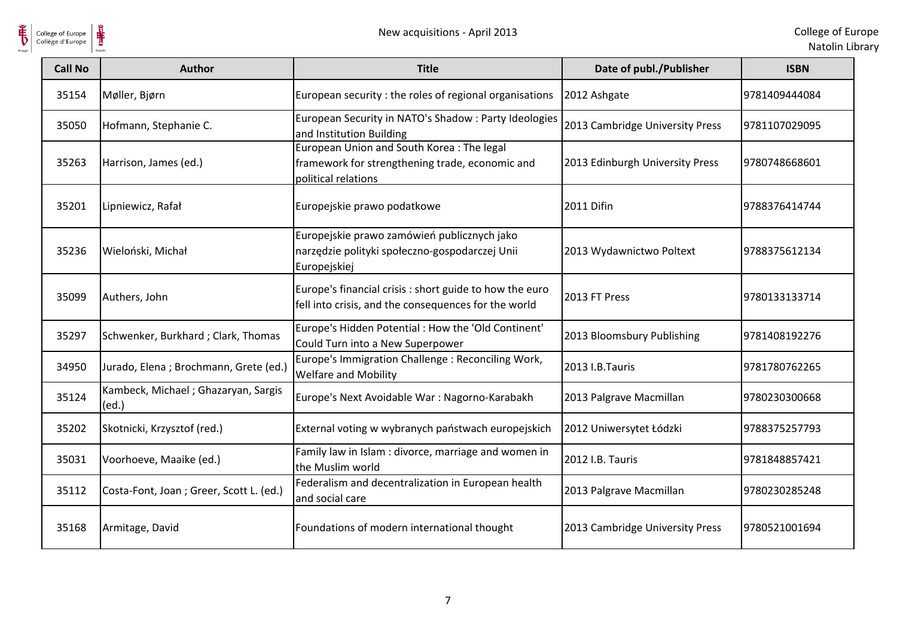

 $\frac{1}{\sqrt{2}}$ 

| <b>Call No</b> | <b>Author</b>                                | <b>Title</b>                                                                                                        | Date of publ./Publisher         | <b>ISBN</b>    |
|----------------|----------------------------------------------|---------------------------------------------------------------------------------------------------------------------|---------------------------------|----------------|
| 35154          | Møller, Bjørn                                | European security : the roles of regional organisations                                                             | 2012 Ashgate                    | 9781409444084  |
| 35050          | Hofmann, Stephanie C.                        | European Security in NATO's Shadow: Party Ideologies<br>and Institution Building                                    | 2013 Cambridge University Press | 9781107029095  |
| 35263          | Harrison, James (ed.)                        | European Union and South Korea: The legal<br>framework for strengthening trade, economic and<br>political relations | 2013 Edinburgh University Press | 9780748668601  |
| 35201          | Lipniewicz, Rafał                            | Europejskie prawo podatkowe                                                                                         | 2011 Difin                      | 9788376414744  |
| 35236          | Wieloński, Michał                            | Europejskie prawo zamówień publicznych jako<br>narzędzie polityki społeczno-gospodarczej Unii<br>Europejskiej       | 2013 Wydawnictwo Poltext        | 19788375612134 |
| 35099          | Authers, John                                | Europe's financial crisis : short guide to how the euro<br>fell into crisis, and the consequences for the world     | 2013 FT Press                   | 9780133133714  |
| 35297          | Schwenker, Burkhard; Clark, Thomas           | Europe's Hidden Potential : How the 'Old Continent'<br>Could Turn into a New Superpower                             | 2013 Bloomsbury Publishing      | 9781408192276  |
| 34950          | Jurado, Elena ; Brochmann, Grete (ed.)       | Europe's Immigration Challenge: Reconciling Work,<br><b>Welfare and Mobility</b>                                    | 2013 I.B.Tauris                 | 9781780762265  |
| 35124          | Kambeck, Michael; Ghazaryan, Sargis<br>(ed.) | Europe's Next Avoidable War: Nagorno-Karabakh                                                                       | 2013 Palgrave Macmillan         | 9780230300668  |
| 35202          | Skotnicki, Krzysztof (red.)                  | External voting w wybranych państwach europejskich                                                                  | 2012 Uniwersytet Łódzki         | 9788375257793  |
| 35031          | Voorhoeve, Maaike (ed.)                      | Family law in Islam: divorce, marriage and women in<br>the Muslim world                                             | 2012 I.B. Tauris                | 9781848857421  |
| 35112          | Costa-Font, Joan; Greer, Scott L. (ed.)      | Federalism and decentralization in European health<br>and social care                                               | 2013 Palgrave Macmillan         | 9780230285248  |
| 35168          | Armitage, David                              | Foundations of modern international thought                                                                         | 2013 Cambridge University Press | 9780521001694  |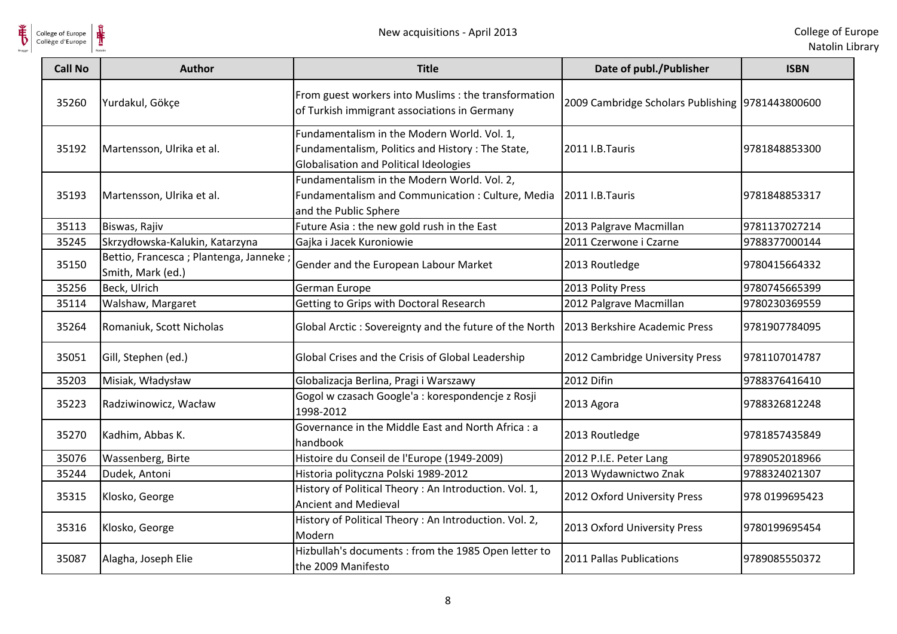

| <b>Call No</b> | <b>Author</b>                                               | <b>Title</b>                                                                                                                              | Date of publ./Publisher                          | <b>ISBN</b>    |
|----------------|-------------------------------------------------------------|-------------------------------------------------------------------------------------------------------------------------------------------|--------------------------------------------------|----------------|
| 35260          | Yurdakul, Gökçe                                             | From guest workers into Muslims : the transformation<br>of Turkish immigrant associations in Germany                                      | 2009 Cambridge Scholars Publishing 9781443800600 |                |
| 35192          | Martensson, Ulrika et al.                                   | Fundamentalism in the Modern World. Vol. 1,<br>Fundamentalism, Politics and History: The State,<br>Globalisation and Political Ideologies | 2011 I.B.Tauris                                  | 9781848853300  |
| 35193          | Martensson, Ulrika et al.                                   | Fundamentalism in the Modern World. Vol. 2,<br>Fundamentalism and Communication: Culture, Media<br>and the Public Sphere                  | 2011 I.B.Tauris                                  | 9781848853317  |
| 35113          | Biswas, Rajiv                                               | Future Asia : the new gold rush in the East                                                                                               | 2013 Palgrave Macmillan                          | 9781137027214  |
| 35245          | Skrzydłowska-Kalukin, Katarzyna                             | Gajka i Jacek Kuroniowie                                                                                                                  | 2011 Czerwone i Czarne                           | 9788377000144  |
| 35150          | Bettio, Francesca; Plantenga, Janneke;<br>Smith, Mark (ed.) | Gender and the European Labour Market                                                                                                     | 2013 Routledge                                   | 9780415664332  |
| 35256          | Beck, Ulrich                                                | German Europe                                                                                                                             | 2013 Polity Press                                | 9780745665399  |
| 35114          | Walshaw, Margaret                                           | Getting to Grips with Doctoral Research                                                                                                   | 2012 Palgrave Macmillan                          | 9780230369559  |
| 35264          | Romaniuk, Scott Nicholas                                    | Global Arctic: Sovereignty and the future of the North                                                                                    | 2013 Berkshire Academic Press                    | 9781907784095  |
| 35051          | Gill, Stephen (ed.)                                         | Global Crises and the Crisis of Global Leadership                                                                                         | 2012 Cambridge University Press                  | 9781107014787  |
| 35203          | Misiak, Władysław                                           | Globalizacja Berlina, Pragi i Warszawy                                                                                                    | 2012 Difin                                       | 9788376416410  |
| 35223          | Radziwinowicz, Wacław                                       | Gogol w czasach Google'a : korespondencje z Rosji<br>1998-2012                                                                            | 2013 Agora                                       | 9788326812248  |
| 35270          | Kadhim, Abbas K.                                            | Governance in the Middle East and North Africa : a<br>handbook                                                                            | 2013 Routledge                                   | 9781857435849  |
| 35076          | Wassenberg, Birte                                           | Histoire du Conseil de l'Europe (1949-2009)                                                                                               | 2012 P.I.E. Peter Lang                           | 9789052018966  |
| 35244          | Dudek, Antoni                                               | Historia polityczna Polski 1989-2012                                                                                                      | 2013 Wydawnictwo Znak                            | 9788324021307  |
| 35315          | Klosko, George                                              | History of Political Theory : An Introduction. Vol. 1,<br>Ancient and Medieval                                                            | 2012 Oxford University Press                     | 978 0199695423 |
| 35316          | Klosko, George                                              | History of Political Theory: An Introduction. Vol. 2,<br>Modern                                                                           | 2013 Oxford University Press                     | 9780199695454  |
| 35087          | Alagha, Joseph Elie                                         | Hizbullah's documents : from the 1985 Open letter to<br>the 2009 Manifesto                                                                | 2011 Pallas Publications                         | 9789085550372  |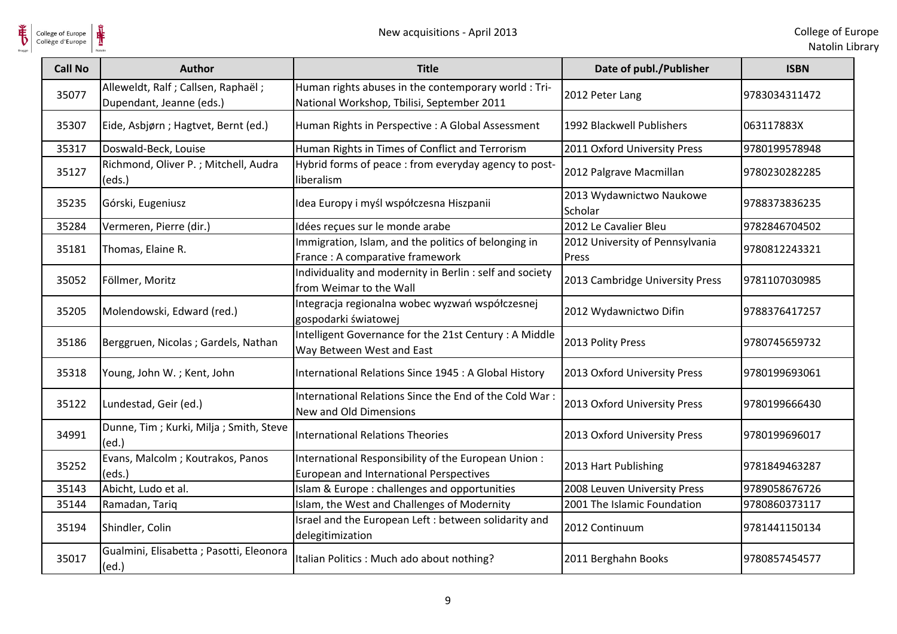

 $\frac{1}{\sqrt{2}}$ 

| <b>Call No</b> | <b>Author</b>                                                    | <b>Title</b>                                                                                       | Date of publ./Publisher                  | <b>ISBN</b>   |
|----------------|------------------------------------------------------------------|----------------------------------------------------------------------------------------------------|------------------------------------------|---------------|
| 35077          | Alleweldt, Ralf ; Callsen, Raphaël ;<br>Dupendant, Jeanne (eds.) | Human rights abuses in the contemporary world : Tri-<br>National Workshop, Tbilisi, September 2011 | 2012 Peter Lang                          | 9783034311472 |
| 35307          | Eide, Asbjørn; Hagtvet, Bernt (ed.)                              | Human Rights in Perspective : A Global Assessment                                                  | 1992 Blackwell Publishers                | 063117883X    |
| 35317          | Doswald-Beck, Louise                                             | Human Rights in Times of Conflict and Terrorism                                                    | 2011 Oxford University Press             | 9780199578948 |
| 35127          | Richmond, Oliver P.; Mitchell, Audra<br>(eds.)                   | Hybrid forms of peace : from everyday agency to post-<br>liberalism                                | 2012 Palgrave Macmillan                  | 9780230282285 |
| 35235          | Górski, Eugeniusz                                                | Idea Europy i myśl współczesna Hiszpanii                                                           | 2013 Wydawnictwo Naukowe<br>Scholar      | 9788373836235 |
| 35284          | Vermeren, Pierre (dir.)                                          | Idées reçues sur le monde arabe                                                                    | 2012 Le Cavalier Bleu                    | 9782846704502 |
| 35181          | Thomas, Elaine R.                                                | Immigration, Islam, and the politics of belonging in<br>France: A comparative framework            | 2012 University of Pennsylvania<br>Press | 9780812243321 |
| 35052          | Föllmer, Moritz                                                  | Individuality and modernity in Berlin : self and society<br>from Weimar to the Wall                | 2013 Cambridge University Press          | 9781107030985 |
| 35205          | Molendowski, Edward (red.)                                       | Integracja regionalna wobec wyzwań współczesnej<br>gospodarki światowej                            | 2012 Wydawnictwo Difin                   | 9788376417257 |
| 35186          | Berggruen, Nicolas; Gardels, Nathan                              | Intelligent Governance for the 21st Century : A Middle<br>Way Between West and East                | 2013 Polity Press                        | 9780745659732 |
| 35318          | Young, John W.; Kent, John                                       | International Relations Since 1945 : A Global History                                              | 2013 Oxford University Press             | 9780199693061 |
| 35122          | Lundestad, Geir (ed.)                                            | International Relations Since the End of the Cold War:<br>New and Old Dimensions                   | 2013 Oxford University Press             | 9780199666430 |
| 34991          | Dunne, Tim; Kurki, Milja; Smith, Steve<br>(ed.)                  | <b>International Relations Theories</b>                                                            | 2013 Oxford University Press             | 9780199696017 |
| 35252          | Evans, Malcolm; Koutrakos, Panos<br>(eds.)                       | International Responsibility of the European Union:<br>European and International Perspectives     | 2013 Hart Publishing                     | 9781849463287 |
| 35143          | Abicht, Ludo et al.                                              | Islam & Europe : challenges and opportunities                                                      | 2008 Leuven University Press             | 9789058676726 |
| 35144          | Ramadan, Tariq                                                   | Islam, the West and Challenges of Modernity                                                        | 2001 The Islamic Foundation              | 9780860373117 |
| 35194          | Shindler, Colin                                                  | Israel and the European Left : between solidarity and<br>delegitimization                          | 2012 Continuum                           | 9781441150134 |
| 35017          | Gualmini, Elisabetta; Pasotti, Eleonora<br>(ed.)                 | Italian Politics: Much ado about nothing?                                                          | 2011 Berghahn Books                      | 9780857454577 |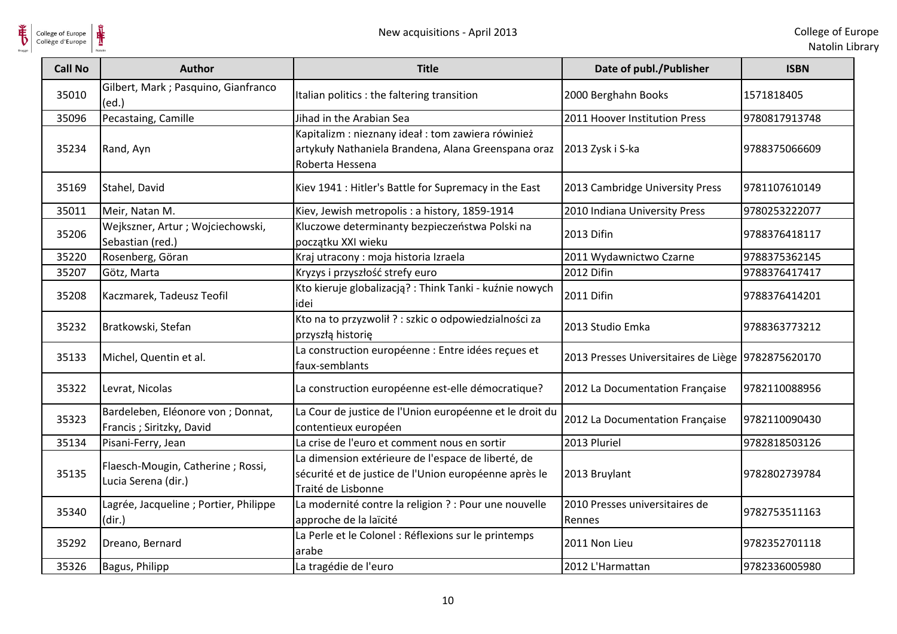

 $\frac{1}{\sqrt{2}}$ 

| <b>Call No</b> | Author                                                         | <b>Title</b>                                                                                                                      | Date of publ./Publisher                            | <b>ISBN</b>   |
|----------------|----------------------------------------------------------------|-----------------------------------------------------------------------------------------------------------------------------------|----------------------------------------------------|---------------|
| 35010          | Gilbert, Mark ; Pasquino, Gianfranco<br>(ed.)                  | Italian politics : the faltering transition                                                                                       | 2000 Berghahn Books                                | 1571818405    |
| 35096          | Pecastaing, Camille                                            | Jihad in the Arabian Sea                                                                                                          | 2011 Hoover Institution Press                      | 9780817913748 |
| 35234          | Rand, Ayn                                                      | Kapitalizm : nieznany ideał : tom zawiera rówinież<br>artykuły Nathaniela Brandena, Alana Greenspana oraz<br>Roberta Hessena      | 2013 Zysk i S-ka                                   | 9788375066609 |
| 35169          | Stahel, David                                                  | Kiev 1941 : Hitler's Battle for Supremacy in the East                                                                             | 2013 Cambridge University Press                    | 9781107610149 |
| 35011          | Meir, Natan M.                                                 | Kiev, Jewish metropolis : a history, 1859-1914                                                                                    | 2010 Indiana University Press                      | 9780253222077 |
| 35206          | Wejkszner, Artur ; Wojciechowski,<br>Sebastian (red.)          | Kluczowe determinanty bezpieczeństwa Polski na<br>początku XXI wieku                                                              | 2013 Difin                                         | 9788376418117 |
| 35220          | Rosenberg, Göran                                               | Kraj utracony: moja historia Izraela                                                                                              | 2011 Wydawnictwo Czarne                            | 9788375362145 |
| 35207          | Götz, Marta                                                    | Kryzys i przyszłość strefy euro                                                                                                   | 2012 Difin                                         | 9788376417417 |
| 35208          | Kaczmarek, Tadeusz Teofil                                      | Kto kieruje globalizacją? : Think Tanki - kuźnie nowych<br>idei                                                                   | 2011 Difin                                         | 9788376414201 |
| 35232          | Bratkowski, Stefan                                             | Kto na to przyzwolił ? : szkic o odpowiedzialności za<br>przyszłą historię                                                        | 2013 Studio Emka                                   | 9788363773212 |
| 35133          | Michel, Quentin et al.                                         | La construction européenne : Entre idées reçues et<br>faux-semblants                                                              | 2013 Presses Universitaires de Liège 9782875620170 |               |
| 35322          | Levrat, Nicolas                                                | La construction européenne est-elle démocratique?                                                                                 | 2012 La Documentation Française                    | 9782110088956 |
| 35323          | Bardeleben, Eléonore von ; Donnat,<br>Francis; Siritzky, David | La Cour de justice de l'Union européenne et le droit du<br>contentieux européen                                                   | 2012 La Documentation Française                    | 9782110090430 |
| 35134          | Pisani-Ferry, Jean                                             | La crise de l'euro et comment nous en sortir                                                                                      | 2013 Pluriel                                       | 9782818503126 |
| 35135          | Flaesch-Mougin, Catherine; Rossi,<br>Lucia Serena (dir.)       | La dimension extérieure de l'espace de liberté, de<br>sécurité et de justice de l'Union européenne après le<br>Traité de Lisbonne | 2013 Bruylant                                      | 9782802739784 |
| 35340          | Lagrée, Jacqueline ; Portier, Philippe<br>(dir.)               | La modernité contre la religion ? : Pour une nouvelle<br>approche de la laïcité                                                   | 2010 Presses universitaires de<br>Rennes           | 9782753511163 |
| 35292          | Dreano, Bernard                                                | La Perle et le Colonel : Réflexions sur le printemps<br>arabe                                                                     | 2011 Non Lieu                                      | 9782352701118 |
| 35326          | Bagus, Philipp                                                 | La tragédie de l'euro                                                                                                             | 2012 L'Harmattan                                   | 9782336005980 |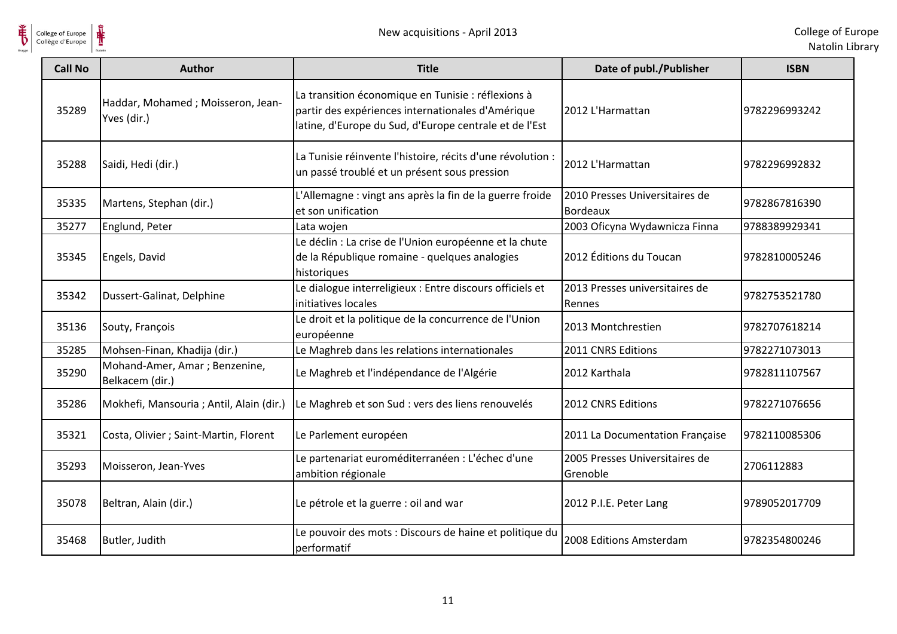

 $\frac{1}{\sqrt{2}}$ 

| <b>Call No</b> | <b>Author</b>                                     | <b>Title</b>                                                                                                                                                      | Date of publ./Publisher                    | <b>ISBN</b>   |
|----------------|---------------------------------------------------|-------------------------------------------------------------------------------------------------------------------------------------------------------------------|--------------------------------------------|---------------|
| 35289          | Haddar, Mohamed; Moisseron, Jean-<br>Yves (dir.)  | La transition économique en Tunisie : réflexions à<br>partir des expériences internationales d'Amérique<br>latine, d'Europe du Sud, d'Europe centrale et de l'Est | 2012 L'Harmattan                           | 9782296993242 |
| 35288          | Saidi, Hedi (dir.)                                | La Tunisie réinvente l'histoire, récits d'une révolution :<br>un passé troublé et un présent sous pression                                                        | 2012 L'Harmattan                           | 9782296992832 |
| 35335          | Martens, Stephan (dir.)                           | L'Allemagne : vingt ans après la fin de la guerre froide<br>et son unification                                                                                    | 2010 Presses Universitaires de<br>Bordeaux | 9782867816390 |
| 35277          | Englund, Peter                                    | Lata wojen                                                                                                                                                        | 2003 Oficyna Wydawnicza Finna              | 9788389929341 |
| 35345          | Engels, David                                     | Le déclin : La crise de l'Union européenne et la chute<br>de la République romaine - quelques analogies<br>historiques                                            | 2012 Éditions du Toucan                    | 9782810005246 |
| 35342          | Dussert-Galinat, Delphine                         | Le dialogue interreligieux : Entre discours officiels et<br>initiatives locales                                                                                   | 2013 Presses universitaires de<br>Rennes   | 9782753521780 |
| 35136          | Souty, François                                   | Le droit et la politique de la concurrence de l'Union<br>européenne                                                                                               | 2013 Montchrestien                         | 9782707618214 |
| 35285          | Mohsen-Finan, Khadija (dir.)                      | Le Maghreb dans les relations internationales                                                                                                                     | 2011 CNRS Editions                         | 9782271073013 |
| 35290          | Mohand-Amer, Amar ; Benzenine,<br>Belkacem (dir.) | Le Maghreb et l'indépendance de l'Algérie                                                                                                                         | 2012 Karthala                              | 9782811107567 |
| 35286          | Mokhefi, Mansouria ; Antil, Alain (dir.)          | Le Maghreb et son Sud : vers des liens renouvelés                                                                                                                 | 2012 CNRS Editions                         | 9782271076656 |
| 35321          | Costa, Olivier ; Saint-Martin, Florent            | Le Parlement européen                                                                                                                                             | 2011 La Documentation Française            | 9782110085306 |
| 35293          | Moisseron, Jean-Yves                              | Le partenariat euroméditerranéen : L'échec d'une<br>ambition régionale                                                                                            | 2005 Presses Universitaires de<br>Grenoble | 2706112883    |
| 35078          | Beltran, Alain (dir.)                             | Le pétrole et la guerre : oil and war                                                                                                                             | 2012 P.I.E. Peter Lang                     | 9789052017709 |
| 35468          | Butler, Judith                                    | Le pouvoir des mots : Discours de haine et politique du<br>performatif                                                                                            | 2008 Editions Amsterdam                    | 9782354800246 |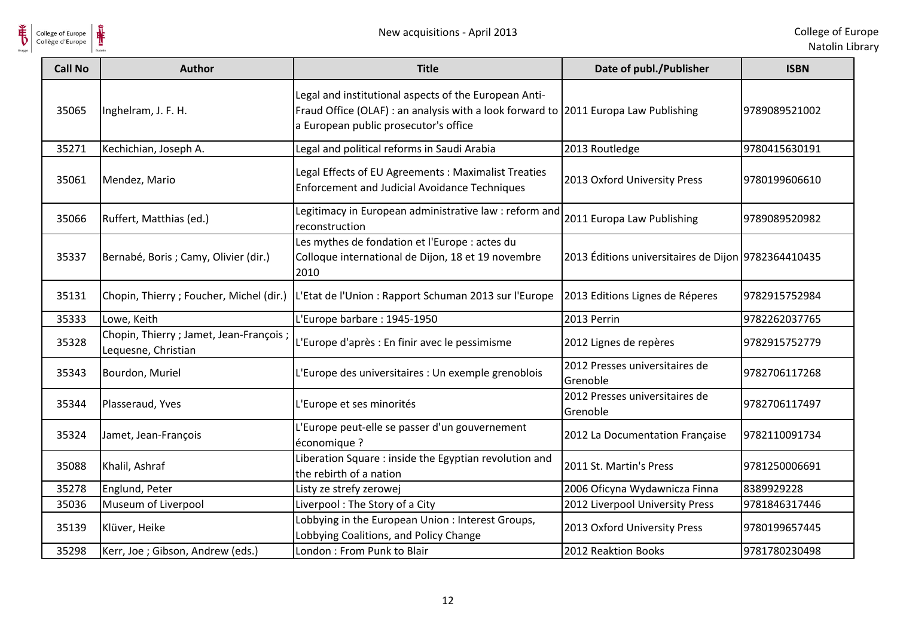

| <b>Call No</b> | <b>Author</b>                                                   | <b>Title</b>                                                                                                                                                                          | Date of publ./Publisher                             | <b>ISBN</b>   |
|----------------|-----------------------------------------------------------------|---------------------------------------------------------------------------------------------------------------------------------------------------------------------------------------|-----------------------------------------------------|---------------|
| 35065          | Inghelram, J. F. H.                                             | Legal and institutional aspects of the European Anti-<br>Fraud Office (OLAF) : an analysis with a look forward to 2011 Europa Law Publishing<br>a European public prosecutor's office |                                                     | 9789089521002 |
| 35271          | Kechichian, Joseph A.                                           | Legal and political reforms in Saudi Arabia                                                                                                                                           | 2013 Routledge                                      | 9780415630191 |
| 35061          | Mendez, Mario                                                   | Legal Effects of EU Agreements: Maximalist Treaties<br><b>Enforcement and Judicial Avoidance Techniques</b>                                                                           | 2013 Oxford University Press                        | 9780199606610 |
| 35066          | Ruffert, Matthias (ed.)                                         | Legitimacy in European administrative law : reform and<br>reconstruction                                                                                                              | 2011 Europa Law Publishing                          | 9789089520982 |
| 35337          | Bernabé, Boris ; Camy, Olivier (dir.)                           | Les mythes de fondation et l'Europe : actes du<br>Colloque international de Dijon, 18 et 19 novembre<br>2010                                                                          | 2013 Éditions universitaires de Dijon 9782364410435 |               |
| 35131          | Chopin, Thierry; Foucher, Michel (dir.)                         | L'Etat de l'Union : Rapport Schuman 2013 sur l'Europe                                                                                                                                 | 2013 Editions Lignes de Réperes                     | 9782915752984 |
| 35333          | Lowe, Keith                                                     | L'Europe barbare : 1945-1950                                                                                                                                                          | 2013 Perrin                                         | 9782262037765 |
| 35328          | Chopin, Thierry ; Jamet, Jean-François ;<br>Lequesne, Christian | L'Europe d'après : En finir avec le pessimisme                                                                                                                                        | 2012 Lignes de repères                              | 9782915752779 |
| 35343          | Bourdon, Muriel                                                 | L'Europe des universitaires : Un exemple grenoblois                                                                                                                                   | 2012 Presses universitaires de<br>Grenoble          | 9782706117268 |
| 35344          | Plasseraud, Yves                                                | L'Europe et ses minorités                                                                                                                                                             | 2012 Presses universitaires de<br>Grenoble          | 9782706117497 |
| 35324          | Jamet, Jean-François                                            | L'Europe peut-elle se passer d'un gouvernement<br>économique ?                                                                                                                        | 2012 La Documentation Française                     | 9782110091734 |
| 35088          | Khalil, Ashraf                                                  | Liberation Square : inside the Egyptian revolution and<br>the rebirth of a nation                                                                                                     | 2011 St. Martin's Press                             | 9781250006691 |
| 35278          | Englund, Peter                                                  | Listy ze strefy zerowej                                                                                                                                                               | 2006 Oficyna Wydawnicza Finna                       | 8389929228    |
| 35036          | Museum of Liverpool                                             | Liverpool: The Story of a City                                                                                                                                                        | 2012 Liverpool University Press                     | 9781846317446 |
| 35139          | Klüver, Heike                                                   | Lobbying in the European Union: Interest Groups,<br>Lobbying Coalitions, and Policy Change                                                                                            | 2013 Oxford University Press                        | 9780199657445 |
| 35298          | Kerr, Joe ; Gibson, Andrew (eds.)                               | London: From Punk to Blair                                                                                                                                                            | 2012 Reaktion Books                                 | 9781780230498 |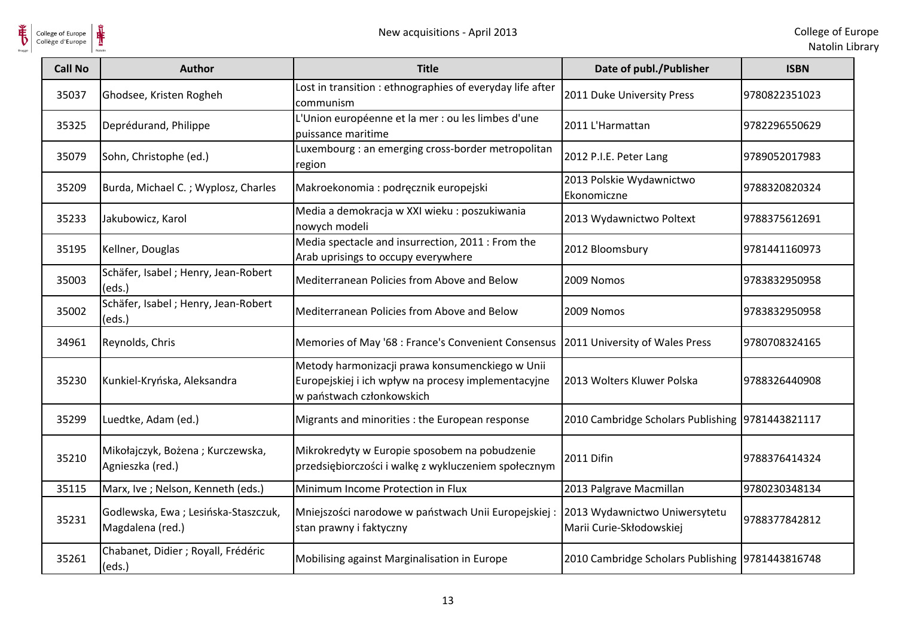

| <b>Call No</b> | <b>Author</b>                                           | <b>Title</b>                                                                                                                        | Date of publ./Publisher                                   | <b>ISBN</b>   |
|----------------|---------------------------------------------------------|-------------------------------------------------------------------------------------------------------------------------------------|-----------------------------------------------------------|---------------|
| 35037          | Ghodsee, Kristen Rogheh                                 | Lost in transition : ethnographies of everyday life after<br>communism                                                              | 2011 Duke University Press                                | 9780822351023 |
| 35325          | Deprédurand, Philippe                                   | L'Union européenne et la mer : ou les limbes d'une<br>puissance maritime                                                            | 2011 L'Harmattan                                          | 9782296550629 |
| 35079          | Sohn, Christophe (ed.)                                  | Luxembourg : an emerging cross-border metropolitan<br>region                                                                        | 2012 P.I.E. Peter Lang                                    | 9789052017983 |
| 35209          | Burda, Michael C.; Wyplosz, Charles                     | Makroekonomia: podręcznik europejski                                                                                                | 2013 Polskie Wydawnictwo<br>Ekonomiczne                   | 9788320820324 |
| 35233          | Jakubowicz, Karol                                       | Media a demokracja w XXI wieku : poszukiwania<br>nowych modeli                                                                      | 2013 Wydawnictwo Poltext                                  | 9788375612691 |
| 35195          | Kellner, Douglas                                        | Media spectacle and insurrection, 2011 : From the<br>Arab uprisings to occupy everywhere                                            | 2012 Bloomsbury                                           | 9781441160973 |
| 35003          | Schäfer, Isabel ; Henry, Jean-Robert<br>(eds.)          | Mediterranean Policies from Above and Below                                                                                         | 2009 Nomos                                                | 9783832950958 |
| 35002          | Schäfer, Isabel; Henry, Jean-Robert<br>(eds.)           | Mediterranean Policies from Above and Below                                                                                         | 2009 Nomos                                                | 9783832950958 |
| 34961          | Reynolds, Chris                                         | Memories of May '68 : France's Convenient Consensus                                                                                 | 2011 University of Wales Press                            | 9780708324165 |
| 35230          | Kunkiel-Kryńska, Aleksandra                             | Metody harmonizacji prawa konsumenckiego w Unii<br>Europejskiej i ich wpływ na procesy implementacyjne<br>w państwach członkowskich | 2013 Wolters Kluwer Polska                                | 9788326440908 |
| 35299          | Luedtke, Adam (ed.)                                     | Migrants and minorities : the European response                                                                                     | 2010 Cambridge Scholars Publishing 9781443821117          |               |
| 35210          | Mikołajczyk, Bożena; Kurczewska,<br>Agnieszka (red.)    | Mikrokredyty w Europie sposobem na pobudzenie<br>przedsiębiorczości i walkę z wykluczeniem społecznym                               | 2011 Difin                                                | 9788376414324 |
| 35115          | Marx, Ive ; Nelson, Kenneth (eds.)                      | Minimum Income Protection in Flux                                                                                                   | 2013 Palgrave Macmillan                                   | 9780230348134 |
| 35231          | Godlewska, Ewa; Lesińska-Staszczuk,<br>Magdalena (red.) | Mniejszości narodowe w państwach Unii Europejskiej:<br>stan prawny i faktyczny                                                      | 2013 Wydawnictwo Uniwersytetu<br>Marii Curie-Skłodowskiej | 9788377842812 |
| 35261          | Chabanet, Didier ; Royall, Frédéric<br>(eds.)           | Mobilising against Marginalisation in Europe                                                                                        | 2010 Cambridge Scholars Publishing 9781443816748          |               |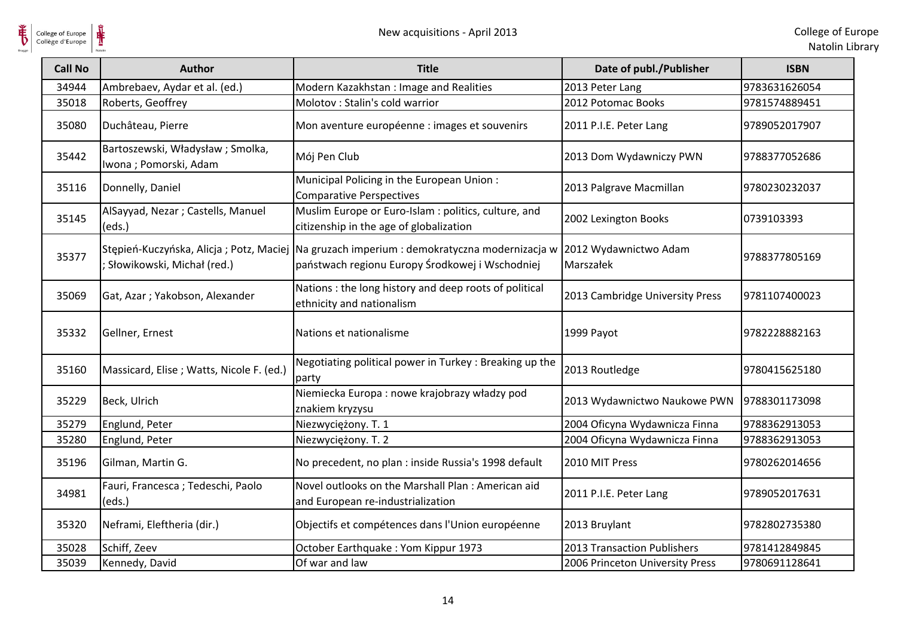$\frac{1}{\sqrt{2}}$ 

| <b>Call No</b> | Author                                                    | <b>Title</b>                                                                                                                                  | Date of publ./Publisher            | <b>ISBN</b>   |
|----------------|-----------------------------------------------------------|-----------------------------------------------------------------------------------------------------------------------------------------------|------------------------------------|---------------|
| 34944          | Ambrebaev, Aydar et al. (ed.)                             | Modern Kazakhstan: Image and Realities                                                                                                        | 2013 Peter Lang                    | 9783631626054 |
| 35018          | Roberts, Geoffrey                                         | Molotov : Stalin's cold warrior                                                                                                               | 2012 Potomac Books                 | 9781574889451 |
| 35080          | Duchâteau, Pierre                                         | Mon aventure européenne : images et souvenirs                                                                                                 | 2011 P.I.E. Peter Lang             | 9789052017907 |
| 35442          | Bartoszewski, Władysław; Smolka,<br>Iwona; Pomorski, Adam | Mój Pen Club                                                                                                                                  | 2013 Dom Wydawniczy PWN            | 9788377052686 |
| 35116          | Donnelly, Daniel                                          | Municipal Policing in the European Union:<br><b>Comparative Perspectives</b>                                                                  | 2013 Palgrave Macmillan            | 9780230232037 |
| 35145          | AlSayyad, Nezar; Castells, Manuel<br>(eds.)               | Muslim Europe or Euro-Islam : politics, culture, and<br>citizenship in the age of globalization                                               | 2002 Lexington Books               | 0739103393    |
| 35377          | ; Słowikowski, Michał (red.)                              | Stępień-Kuczyńska, Alicja; Potz, Maciej Na gruzach imperium : demokratyczna modernizacja w<br>państwach regionu Europy Środkowej i Wschodniej | 2012 Wydawnictwo Adam<br>Marszałek | 9788377805169 |
| 35069          | Gat, Azar; Yakobson, Alexander                            | Nations : the long history and deep roots of political<br>ethnicity and nationalism                                                           | 2013 Cambridge University Press    | 9781107400023 |
| 35332          | Gellner, Ernest                                           | Nations et nationalisme                                                                                                                       | 1999 Payot                         | 9782228882163 |
| 35160          | Massicard, Elise; Watts, Nicole F. (ed.)                  | Negotiating political power in Turkey: Breaking up the<br>party                                                                               | 2013 Routledge                     | 9780415625180 |
| 35229          | Beck, Ulrich                                              | Niemiecka Europa : nowe krajobrazy władzy pod<br>znakiem kryzysu                                                                              | 2013 Wydawnictwo Naukowe PWN       | 9788301173098 |
| 35279          | Englund, Peter                                            | Niezwyciężony. T. 1                                                                                                                           | 2004 Oficyna Wydawnicza Finna      | 9788362913053 |
| 35280          | Englund, Peter                                            | Niezwyciężony. T. 2                                                                                                                           | 2004 Oficyna Wydawnicza Finna      | 9788362913053 |
| 35196          | Gilman, Martin G.                                         | No precedent, no plan : inside Russia's 1998 default                                                                                          | 2010 MIT Press                     | 9780262014656 |
| 34981          | Fauri, Francesca; Tedeschi, Paolo<br>(eds.)               | Novel outlooks on the Marshall Plan : American aid<br>and European re-industrialization                                                       | 2011 P.I.E. Peter Lang             | 9789052017631 |
| 35320          | Neframi, Eleftheria (dir.)                                | Objectifs et compétences dans l'Union européenne                                                                                              | 2013 Bruylant                      | 9782802735380 |
| 35028          | Schiff, Zeev                                              | October Earthquake: Yom Kippur 1973                                                                                                           | 2013 Transaction Publishers        | 9781412849845 |
| 35039          | Kennedy, David                                            | Of war and law                                                                                                                                | 2006 Princeton University Press    | 9780691128641 |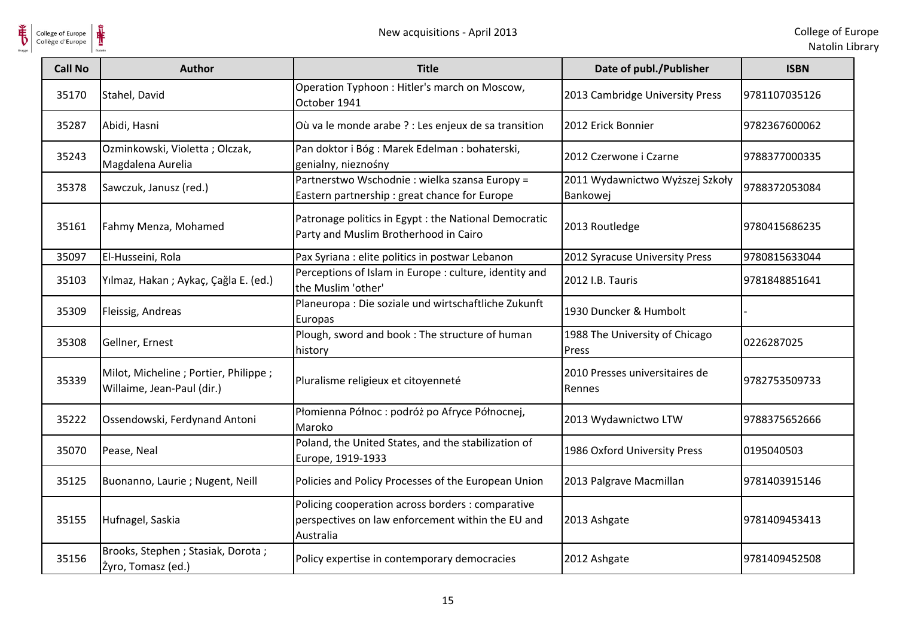

| <b>Call No</b> | Author                                                               | <b>Title</b>                                                                                                        | Date of publ./Publisher                     | <b>ISBN</b>   |
|----------------|----------------------------------------------------------------------|---------------------------------------------------------------------------------------------------------------------|---------------------------------------------|---------------|
| 35170          | Stahel, David                                                        | Operation Typhoon: Hitler's march on Moscow,<br>October 1941                                                        | 2013 Cambridge University Press             | 9781107035126 |
| 35287          | Abidi, Hasni                                                         | Où va le monde arabe ? : Les enjeux de sa transition                                                                | 2012 Erick Bonnier                          | 9782367600062 |
| 35243          | Ozminkowski, Violetta; Olczak,<br>Magdalena Aurelia                  | Pan doktor i Bóg: Marek Edelman: bohaterski,<br>genialny, nieznośny                                                 | 2012 Czerwone i Czarne                      | 9788377000335 |
| 35378          | Sawczuk, Janusz (red.)                                               | Partnerstwo Wschodnie: wielka szansa Europy =<br>Eastern partnership : great chance for Europe                      | 2011 Wydawnictwo Wyższej Szkoły<br>Bankowej | 9788372053084 |
| 35161          | Fahmy Menza, Mohamed                                                 | Patronage politics in Egypt : the National Democratic<br>Party and Muslim Brotherhood in Cairo                      | 2013 Routledge                              | 9780415686235 |
| 35097          | El-Husseini, Rola                                                    | Pax Syriana : elite politics in postwar Lebanon                                                                     | 2012 Syracuse University Press              | 9780815633044 |
| 35103          | Yılmaz, Hakan; Aykaç, Çağla E. (ed.)                                 | Perceptions of Islam in Europe : culture, identity and<br>the Muslim 'other'                                        | 2012 I.B. Tauris                            | 9781848851641 |
| 35309          | Fleissig, Andreas                                                    | Planeuropa : Die soziale und wirtschaftliche Zukunft<br>Europas                                                     | 1930 Duncker & Humbolt                      |               |
| 35308          | Gellner, Ernest                                                      | Plough, sword and book : The structure of human<br>history                                                          | 1988 The University of Chicago<br>Press     | 0226287025    |
| 35339          | Milot, Micheline ; Portier, Philippe ;<br>Willaime, Jean-Paul (dir.) | Pluralisme religieux et citoyenneté                                                                                 | 2010 Presses universitaires de<br>Rennes    | 9782753509733 |
| 35222          | Ossendowski, Ferdynand Antoni                                        | Płomienna Północ: podróż po Afryce Północnej,<br>Maroko                                                             | 2013 Wydawnictwo LTW                        | 9788375652666 |
| 35070          | Pease, Neal                                                          | Poland, the United States, and the stabilization of<br>Europe, 1919-1933                                            | 1986 Oxford University Press                | 0195040503    |
| 35125          | Buonanno, Laurie; Nugent, Neill                                      | Policies and Policy Processes of the European Union                                                                 | 2013 Palgrave Macmillan                     | 9781403915146 |
| 35155          | Hufnagel, Saskia                                                     | Policing cooperation across borders : comparative<br>perspectives on law enforcement within the EU and<br>Australia | 2013 Ashgate                                | 9781409453413 |
| 35156          | Brooks, Stephen ; Stasiak, Dorota ;<br>Żyro, Tomasz (ed.)            | Policy expertise in contemporary democracies                                                                        | 2012 Ashgate                                | 9781409452508 |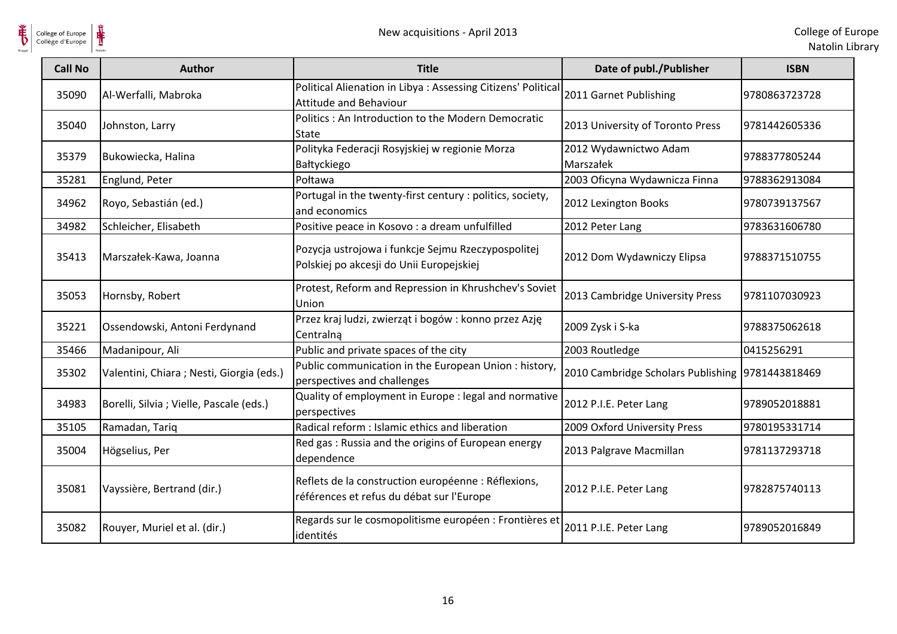

 $\frac{1}{\sqrt{2}}$ 

| <b>Call No</b> | <b>Author</b>                             | <b>Title</b>                                                                                     | Date of publ./Publisher                          | <b>ISBN</b>    |
|----------------|-------------------------------------------|--------------------------------------------------------------------------------------------------|--------------------------------------------------|----------------|
| 35090          | Al-Werfalli, Mabroka                      | Political Alienation in Libya: Assessing Citizens' Political<br><b>Attitude and Behaviour</b>    | 2011 Garnet Publishing                           | 9780863723728  |
| 35040          | Johnston, Larry                           | Politics: An Introduction to the Modern Democratic<br>State                                      | 2013 University of Toronto Press                 | 9781442605336  |
| 35379          | Bukowiecka, Halina                        | Polityka Federacji Rosyjskiej w regionie Morza<br>Bałtyckiego                                    | 2012 Wydawnictwo Adam<br>Marszałek               | 9788377805244  |
| 35281          | Englund, Peter                            | Połtawa                                                                                          | 2003 Oficyna Wydawnicza Finna                    | 9788362913084  |
| 34962          | Royo, Sebastián (ed.)                     | Portugal in the twenty-first century : politics, society,<br>and economics                       | 2012 Lexington Books                             | 9780739137567  |
| 34982          | Schleicher, Elisabeth                     | Positive peace in Kosovo : a dream unfulfilled                                                   | 2012 Peter Lang                                  | 9783631606780  |
| 35413          | Marszałek-Kawa, Joanna                    | Pozycja ustrojowa i funkcje Sejmu Rzeczypospolitej<br>Polskiej po akcesji do Unii Europejskiej   | 2012 Dom Wydawniczy Elipsa                       | 19788371510755 |
| 35053          | Hornsby, Robert                           | Protest, Reform and Repression in Khrushchev's Soviet<br>Union                                   | 2013 Cambridge University Press                  | 9781107030923  |
| 35221          | Ossendowski, Antoni Ferdynand             | Przez kraj ludzi, zwierząt i bogów: konno przez Azję<br>Centralna                                | 2009 Zysk i S-ka                                 | 9788375062618  |
| 35466          | Madanipour, Ali                           | Public and private spaces of the city                                                            | 2003 Routledge                                   | 0415256291     |
| 35302          | Valentini, Chiara ; Nesti, Giorgia (eds.) | Public communication in the European Union: history,<br>perspectives and challenges              | 2010 Cambridge Scholars Publishing 9781443818469 |                |
| 34983          | Borelli, Silvia ; Vielle, Pascale (eds.)  | Quality of employment in Europe : legal and normative<br>perspectives                            | 2012 P.I.E. Peter Lang                           | 9789052018881  |
| 35105          | Ramadan, Tariq                            | Radical reform : Islamic ethics and liberation                                                   | 2009 Oxford University Press                     | 9780195331714  |
| 35004          | Högselius, Per                            | Red gas: Russia and the origins of European energy<br>dependence                                 | 2013 Palgrave Macmillan                          | 9781137293718  |
| 35081          | Vayssière, Bertrand (dir.)                | Reflets de la construction européenne : Réflexions,<br>références et refus du débat sur l'Europe | 2012 P.I.E. Peter Lang                           | 9782875740113  |
| 35082          | Rouyer, Muriel et al. (dir.)              | Regards sur le cosmopolitisme européen : Frontières et<br>identités                              | 2011 P.I.E. Peter Lang                           | 9789052016849  |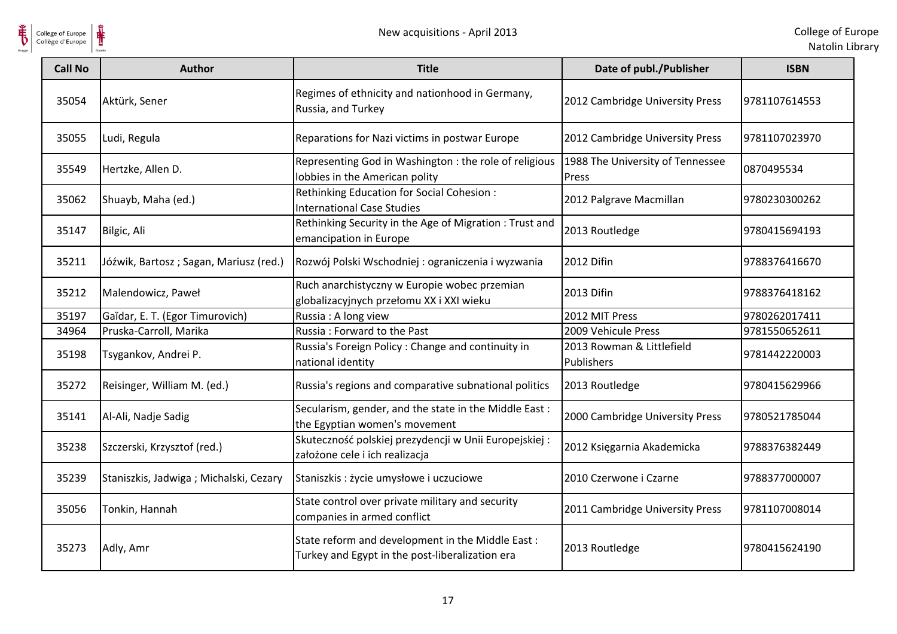

| College of Europe<br>Collège d'Europe | ⋕                                      | New acquisitions - April 2013                                                                       |                                           | College of Eur<br>Natolin Lib |
|---------------------------------------|----------------------------------------|-----------------------------------------------------------------------------------------------------|-------------------------------------------|-------------------------------|
| <b>Call No</b>                        | <b>Author</b>                          | <b>Title</b>                                                                                        | Date of publ./Publisher                   | <b>ISBN</b>                   |
| 35054                                 | Aktürk, Sener                          | Regimes of ethnicity and nationhood in Germany,<br>Russia, and Turkey                               | 2012 Cambridge University Press           | 9781107614553                 |
| 35055                                 | Ludi, Regula                           | Reparations for Nazi victims in postwar Europe                                                      | 2012 Cambridge University Press           | 9781107023970                 |
| 35549                                 | Hertzke, Allen D.                      | Representing God in Washington : the role of religious<br>lobbies in the American polity            | 1988 The University of Tennessee<br>Press | 0870495534                    |
| 35062                                 | Shuayb, Maha (ed.)                     | Rethinking Education for Social Cohesion :<br><b>International Case Studies</b>                     | 2012 Palgrave Macmillan                   | 9780230300262                 |
| 35147                                 | Bilgic, Ali                            | Rethinking Security in the Age of Migration: Trust and<br>emancipation in Europe                    | 2013 Routledge                            | 9780415694193                 |
| 35211                                 | Jóźwik, Bartosz; Sagan, Mariusz (red.) | Rozwój Polski Wschodniej : ograniczenia i wyzwania                                                  | 2012 Difin                                | 9788376416670                 |
| 35212                                 | Malendowicz, Paweł                     | Ruch anarchistyczny w Europie wobec przemian<br>globalizacyjnych przełomu XX i XXI wieku            | 2013 Difin                                | 9788376418162                 |
| 35197                                 | Gaĭdar, E. T. (Egor Timurovich)        | Russia: A long view                                                                                 | 2012 MIT Press                            | 9780262017411                 |
| 34964                                 | Pruska-Carroll, Marika                 | Russia: Forward to the Past                                                                         | 2009 Vehicule Press                       | 9781550652611                 |
| 35198                                 | Tsygankov, Andrei P.                   | Russia's Foreign Policy: Change and continuity in<br>national identity                              | 2013 Rowman & Littlefield<br>Publishers   | 9781442220003                 |
| 35272                                 | Reisinger, William M. (ed.)            | Russia's regions and comparative subnational politics                                               | 2013 Routledge                            | 9780415629966                 |
| 35141                                 | Al-Ali, Nadje Sadig                    | Secularism, gender, and the state in the Middle East:<br>the Egyptian women's movement              | 2000 Cambridge University Press           | 9780521785044                 |
| 35238                                 | Szczerski, Krzysztof (red.)            | Skuteczność polskiej prezydencji w Unii Europejskiej:<br>założone cele i ich realizacja             | 2012 Księgarnia Akademicka                | 9788376382449                 |
| 35239                                 | Staniszkis, Jadwiga; Michalski, Cezary | Staniszkis : życie umysłowe i uczuciowe                                                             | 2010 Czerwone i Czarne                    | 9788377000007                 |
| 35056                                 | Tonkin, Hannah                         | State control over private military and security<br>companies in armed conflict                     | 2011 Cambridge University Press           | 9781107008014                 |
| 35273                                 | Adly, Amr                              | State reform and development in the Middle East:<br>Turkey and Egypt in the post-liberalization era | 2013 Routledge                            | 9780415624190                 |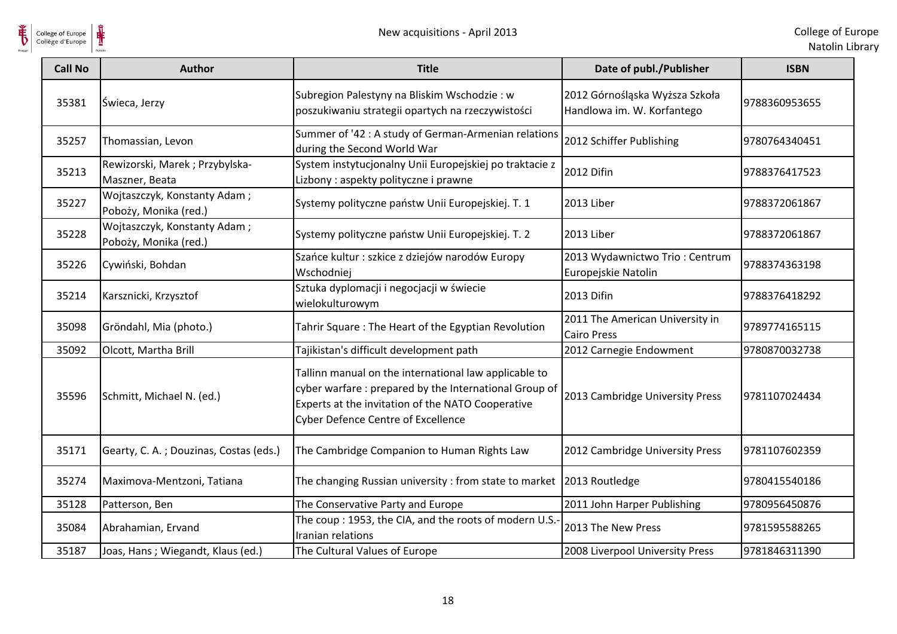

| <b>Call No</b> | <b>Author</b>                                         | <b>Title</b>                                                                                                                                                                                                     | Date of publ./Publisher                                      | <b>ISBN</b>   |
|----------------|-------------------------------------------------------|------------------------------------------------------------------------------------------------------------------------------------------------------------------------------------------------------------------|--------------------------------------------------------------|---------------|
| 35381          | Świeca, Jerzy                                         | Subregion Palestyny na Bliskim Wschodzie: w<br>poszukiwaniu strategii opartych na rzeczywistości                                                                                                                 | 2012 Górnośląska Wyższa Szkoła<br>Handlowa im. W. Korfantego | 9788360953655 |
| 35257          | Thomassian, Levon                                     | Summer of '42 : A study of German-Armenian relations<br>during the Second World War                                                                                                                              | 2012 Schiffer Publishing                                     | 9780764340451 |
| 35213          | Rewizorski, Marek; Przybylska-<br>Maszner, Beata      | System instytucjonalny Unii Europejskiej po traktacie z<br>Lizbony: aspekty polityczne i prawne                                                                                                                  | 2012 Difin                                                   | 9788376417523 |
| 35227          | Wojtaszczyk, Konstanty Adam;<br>Poboży, Monika (red.) | Systemy polityczne państw Unii Europejskiej. T. 1                                                                                                                                                                | 2013 Liber                                                   | 9788372061867 |
| 35228          | Wojtaszczyk, Konstanty Adam;<br>Poboży, Monika (red.) | Systemy polityczne państw Unii Europejskiej. T. 2                                                                                                                                                                | 2013 Liber                                                   | 9788372061867 |
| 35226          | Cywiński, Bohdan                                      | Szańce kultur : szkice z dziejów narodów Europy<br>Wschodniej                                                                                                                                                    | 2013 Wydawnictwo Trio: Centrum<br>Europejskie Natolin        | 9788374363198 |
| 35214          | Karsznicki, Krzysztof                                 | Sztuka dyplomacji i negocjacji w świecie<br>wielokulturowym                                                                                                                                                      | 2013 Difin                                                   | 9788376418292 |
| 35098          | Gröndahl, Mia (photo.)                                | Tahrir Square: The Heart of the Egyptian Revolution                                                                                                                                                              | 2011 The American University in<br><b>Cairo Press</b>        | 9789774165115 |
| 35092          | Olcott, Martha Brill                                  | Tajikistan's difficult development path                                                                                                                                                                          | 2012 Carnegie Endowment                                      | 9780870032738 |
| 35596          | Schmitt, Michael N. (ed.)                             | Tallinn manual on the international law applicable to<br>cyber warfare: prepared by the International Group of<br>Experts at the invitation of the NATO Cooperative<br><b>Cyber Defence Centre of Excellence</b> | 2013 Cambridge University Press                              | 9781107024434 |
| 35171          | Gearty, C. A.; Douzinas, Costas (eds.)                | The Cambridge Companion to Human Rights Law                                                                                                                                                                      | 2012 Cambridge University Press                              | 9781107602359 |
| 35274          | Maximova-Mentzoni, Tatiana                            | The changing Russian university: from state to market                                                                                                                                                            | 2013 Routledge                                               | 9780415540186 |
| 35128          | Patterson, Ben                                        | The Conservative Party and Europe                                                                                                                                                                                | 2011 John Harper Publishing                                  | 9780956450876 |
| 35084          | Abrahamian, Ervand                                    | The coup: 1953, the CIA, and the roots of modern U.S.<br>Iranian relations                                                                                                                                       | 2013 The New Press                                           | 9781595588265 |
| 35187          | Joas, Hans; Wiegandt, Klaus (ed.)                     | The Cultural Values of Europe                                                                                                                                                                                    | 2008 Liverpool University Press                              | 9781846311390 |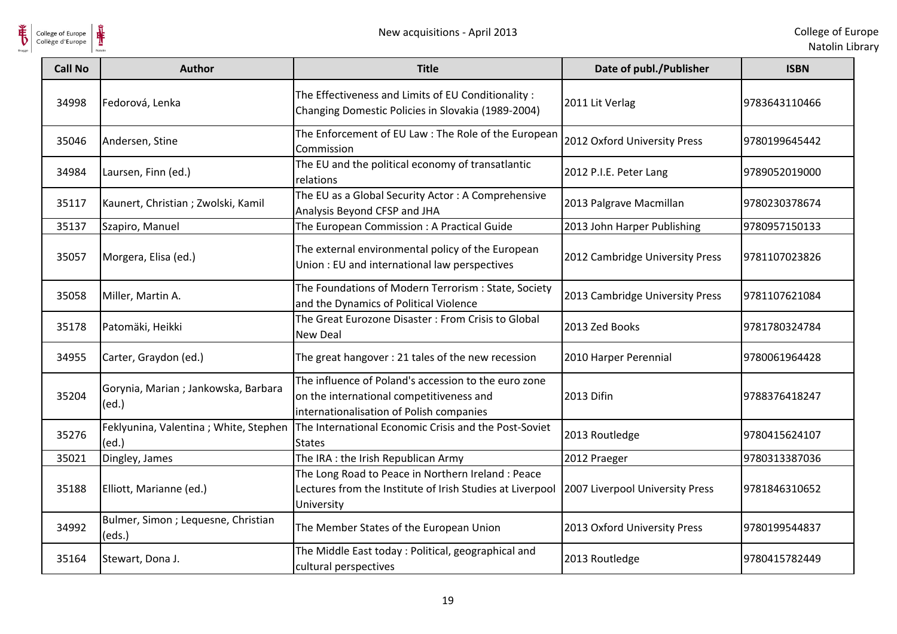

| <b>Call No</b> | <b>Author</b>                                            | <b>Title</b>                                                                                                                                 | Date of publ./Publisher         | <b>ISBN</b>   |
|----------------|----------------------------------------------------------|----------------------------------------------------------------------------------------------------------------------------------------------|---------------------------------|---------------|
| 34998          | Fedorová, Lenka                                          | The Effectiveness and Limits of EU Conditionality :<br>Changing Domestic Policies in Slovakia (1989-2004)                                    | 2011 Lit Verlag                 | 9783643110466 |
| 35046          | Andersen, Stine                                          | The Enforcement of EU Law: The Role of the European<br>Commission                                                                            | 2012 Oxford University Press    | 9780199645442 |
| 34984          | Laursen, Finn (ed.)                                      | The EU and the political economy of transatlantic<br>relations                                                                               | 2012 P.I.E. Peter Lang          | 9789052019000 |
| 35117          | Kaunert, Christian; Zwolski, Kamil                       | The EU as a Global Security Actor: A Comprehensive<br>Analysis Beyond CFSP and JHA                                                           | 2013 Palgrave Macmillan         | 9780230378674 |
| 35137          | Szapiro, Manuel                                          | The European Commission : A Practical Guide                                                                                                  | 2013 John Harper Publishing     | 9780957150133 |
| 35057          | Morgera, Elisa (ed.)                                     | The external environmental policy of the European<br>Union: EU and international law perspectives                                            | 2012 Cambridge University Press | 9781107023826 |
| 35058          | Miller, Martin A.                                        | The Foundations of Modern Terrorism : State, Society<br>and the Dynamics of Political Violence                                               | 2013 Cambridge University Press | 9781107621084 |
| 35178          | Patomäki, Heikki                                         | The Great Eurozone Disaster : From Crisis to Global<br><b>New Deal</b>                                                                       | 2013 Zed Books                  | 9781780324784 |
| 34955          | Carter, Graydon (ed.)                                    | The great hangover: 21 tales of the new recession                                                                                            | 2010 Harper Perennial           | 9780061964428 |
| 35204          | Gorynia, Marian; Jankowska, Barbara<br>(ed.)             | The influence of Poland's accession to the euro zone<br>on the international competitiveness and<br>internationalisation of Polish companies | 2013 Difin                      | 9788376418247 |
| 35276          | Feklyunina, Valentina; White, Stephen<br>(ed.)           | The International Economic Crisis and the Post-Soviet<br><b>States</b>                                                                       | 2013 Routledge                  | 9780415624107 |
| 35021          | Dingley, James                                           | The IRA: the Irish Republican Army                                                                                                           | 2012 Praeger                    | 9780313387036 |
| 35188          | Elliott, Marianne (ed.)                                  | The Long Road to Peace in Northern Ireland: Peace<br>Lectures from the Institute of Irish Studies at Liverpool<br>University                 | 2007 Liverpool University Press | 9781846310652 |
| 34992          | Bulmer, Simon ; Lequesne, Christian<br>$\textsf{(eds.)}$ | The Member States of the European Union                                                                                                      | 2013 Oxford University Press    | 9780199544837 |
| 35164          | Stewart, Dona J.                                         | The Middle East today : Political, geographical and<br>cultural perspectives                                                                 | 2013 Routledge                  | 9780415782449 |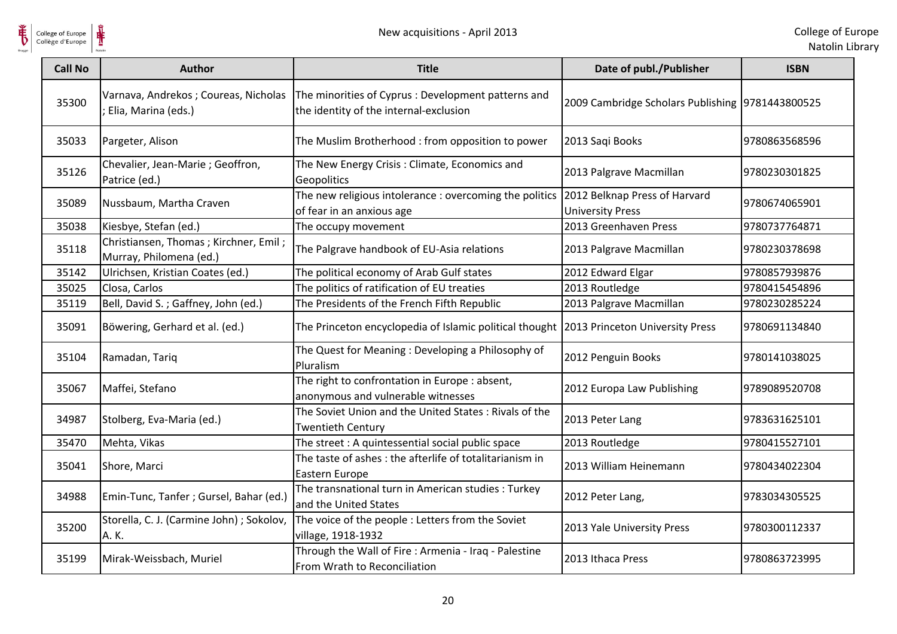

| <b>Call No</b> | <b>Author</b>                                                    | <b>Title</b>                                                                                  | Date of publ./Publisher                                  | <b>ISBN</b>   |
|----------------|------------------------------------------------------------------|-----------------------------------------------------------------------------------------------|----------------------------------------------------------|---------------|
| 35300          | Varnava, Andrekos; Coureas, Nicholas<br>Elia, Marina (eds.)      | The minorities of Cyprus : Development patterns and<br>the identity of the internal-exclusion | 2009 Cambridge Scholars Publishing 9781443800525         |               |
| 35033          | Pargeter, Alison                                                 | The Muslim Brotherhood: from opposition to power                                              | 2013 Saqi Books                                          | 9780863568596 |
| 35126          | Chevalier, Jean-Marie; Geoffron,<br>Patrice (ed.)                | The New Energy Crisis: Climate, Economics and<br>Geopolitics                                  | 2013 Palgrave Macmillan                                  | 9780230301825 |
| 35089          | Nussbaum, Martha Craven                                          | The new religious intolerance : overcoming the politics<br>of fear in an anxious age          | 2012 Belknap Press of Harvard<br><b>University Press</b> | 9780674065901 |
| 35038          | Kiesbye, Stefan (ed.)                                            | The occupy movement                                                                           | 2013 Greenhaven Press                                    | 9780737764871 |
| 35118          | Christiansen, Thomas; Kirchner, Emil;<br>Murray, Philomena (ed.) | The Palgrave handbook of EU-Asia relations                                                    | 2013 Palgrave Macmillan                                  | 9780230378698 |
| 35142          | Ulrichsen, Kristian Coates (ed.)                                 | The political economy of Arab Gulf states                                                     | 2012 Edward Elgar                                        | 9780857939876 |
| 35025          | Closa, Carlos                                                    | The politics of ratification of EU treaties                                                   | 2013 Routledge                                           | 9780415454896 |
| 35119          | Bell, David S.; Gaffney, John (ed.)                              | The Presidents of the French Fifth Republic                                                   | 2013 Palgrave Macmillan                                  | 9780230285224 |
| 35091          | Böwering, Gerhard et al. (ed.)                                   | The Princeton encyclopedia of Islamic political thought 2013 Princeton University Press       |                                                          | 9780691134840 |
| 35104          | Ramadan, Tariq                                                   | The Quest for Meaning: Developing a Philosophy of<br>Pluralism                                | 2012 Penguin Books                                       | 9780141038025 |
| 35067          | Maffei, Stefano                                                  | The right to confrontation in Europe : absent,<br>anonymous and vulnerable witnesses          | 2012 Europa Law Publishing                               | 9789089520708 |
| 34987          | Stolberg, Eva-Maria (ed.)                                        | The Soviet Union and the United States: Rivals of the<br><b>Twentieth Century</b>             | 2013 Peter Lang                                          | 9783631625101 |
| 35470          | Mehta, Vikas                                                     | The street: A quintessential social public space                                              | 2013 Routledge                                           | 9780415527101 |
| 35041          | Shore, Marci                                                     | The taste of ashes: the afterlife of totalitarianism in<br>Eastern Europe                     | 2013 William Heinemann                                   | 9780434022304 |
| 34988          | Emin-Tunc, Tanfer ; Gursel, Bahar (ed.)                          | The transnational turn in American studies : Turkey<br>and the United States                  | 2012 Peter Lang,                                         | 9783034305525 |
| 35200          | Storella, C. J. (Carmine John) ; Sokolov,<br>A.K.                | The voice of the people : Letters from the Soviet<br>village, 1918-1932                       | 2013 Yale University Press                               | 9780300112337 |
| 35199          | Mirak-Weissbach, Muriel                                          | Through the Wall of Fire : Armenia - Iraq - Palestine<br>From Wrath to Reconciliation         | 2013 Ithaca Press                                        | 9780863723995 |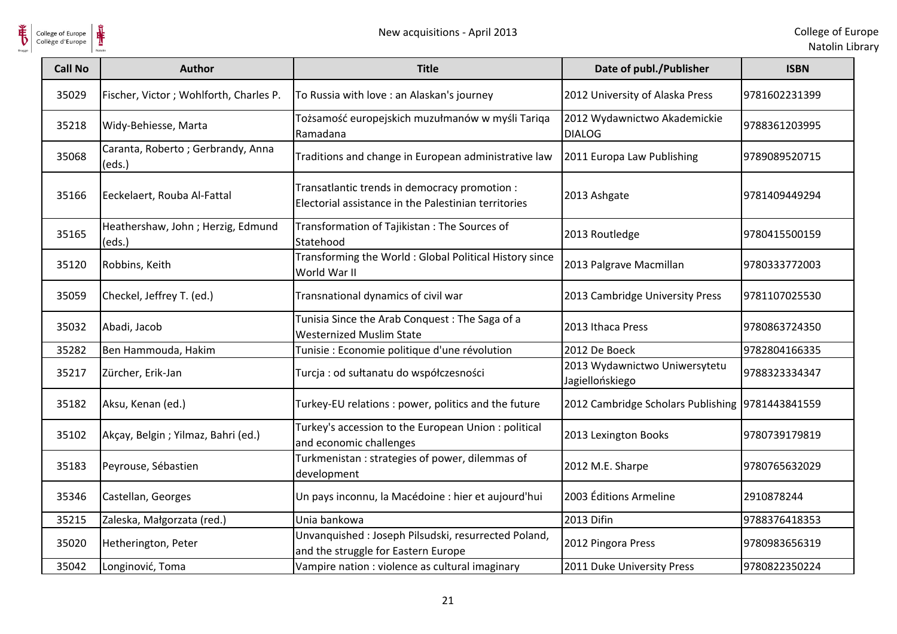

| College of Europe<br>Collège d'Europe |                                             | New acquisitions - April 2013                                                                         |                                                  | College of Eur<br>Natolin Lib |
|---------------------------------------|---------------------------------------------|-------------------------------------------------------------------------------------------------------|--------------------------------------------------|-------------------------------|
| <b>Call No</b>                        | <b>Author</b>                               | <b>Title</b>                                                                                          | Date of publ./Publisher                          | <b>ISBN</b>                   |
| 35029                                 | Fischer, Victor; Wohlforth, Charles P.      | To Russia with love : an Alaskan's journey                                                            | 2012 University of Alaska Press                  | 9781602231399                 |
| 35218                                 | Widy-Behiesse, Marta                        | Tożsamość europejskich muzułmanów w myśli Tariga<br>Ramadana                                          | 2012 Wydawnictwo Akademickie<br><b>DIALOG</b>    | 9788361203995                 |
| 35068                                 | Caranta, Roberto; Gerbrandy, Anna<br>(eds.) | Traditions and change in European administrative law                                                  | 2011 Europa Law Publishing                       | 9789089520715                 |
| 35166                                 | Eeckelaert, Rouba Al-Fattal                 | Transatlantic trends in democracy promotion :<br>Electorial assistance in the Palestinian territories | 2013 Ashgate                                     | 9781409449294                 |
| 35165                                 | Heathershaw, John; Herzig, Edmund<br>(eds.) | Transformation of Tajikistan: The Sources of<br>Statehood                                             | 2013 Routledge                                   | 9780415500159                 |
| 35120                                 | Robbins, Keith                              | Transforming the World: Global Political History since<br>World War II                                | 2013 Palgrave Macmillan                          | 9780333772003                 |
| 35059                                 | Checkel, Jeffrey T. (ed.)                   | Transnational dynamics of civil war                                                                   | 2013 Cambridge University Press                  | 9781107025530                 |
| 35032                                 | Abadi, Jacob                                | Tunisia Since the Arab Conquest: The Saga of a<br><b>Westernized Muslim State</b>                     | 2013 Ithaca Press                                | 9780863724350                 |
| 35282                                 | Ben Hammouda, Hakim                         | Tunisie : Economie politique d'une révolution                                                         | 2012 De Boeck                                    | 9782804166335                 |
| 35217                                 | Zürcher, Erik-Jan                           | Turcja : od sułtanatu do współczesności                                                               | 2013 Wydawnictwo Uniwersytetu<br>Jagiellońskiego | 9788323334347                 |
| 35182                                 | Aksu, Kenan (ed.)                           | Turkey-EU relations : power, politics and the future                                                  | 2012 Cambridge Scholars Publishing 9781443841559 |                               |
| 35102                                 | Akçay, Belgin; Yilmaz, Bahri (ed.)          | Turkey's accession to the European Union: political<br>and economic challenges                        | 2013 Lexington Books                             | 9780739179819                 |
| 35183                                 | Peyrouse, Sébastien                         | Turkmenistan: strategies of power, dilemmas of<br>development                                         | 2012 M.E. Sharpe                                 | 9780765632029                 |
| 35346                                 | Castellan, Georges                          | Un pays inconnu, la Macédoine : hier et aujourd'hui                                                   | 2003 Éditions Armeline                           | 2910878244                    |
| 35215                                 | Zaleska, Małgorzata (red.)                  | Unia bankowa                                                                                          | 2013 Difin                                       | 9788376418353                 |
| 35020                                 | Hetherington, Peter                         | Unvanquished: Joseph Pilsudski, resurrected Poland,<br>and the struggle for Eastern Europe            | 2012 Pingora Press                               | 9780983656319                 |
| 35042                                 | Longinović, Toma                            | Vampire nation : violence as cultural imaginary                                                       | 2011 Duke University Press                       | 9780822350224                 |